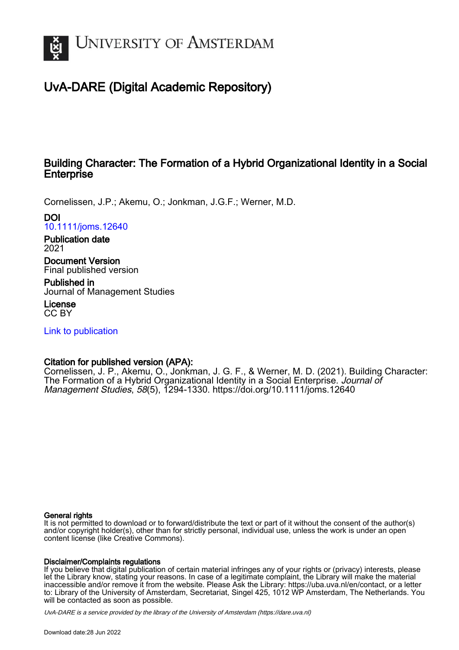

## UvA-DARE (Digital Academic Repository)

## Building Character: The Formation of a Hybrid Organizational Identity in a Social **Enterprise**

Cornelissen, J.P.; Akemu, O.; Jonkman, J.G.F.; Werner, M.D.

DOI [10.1111/joms.12640](https://doi.org/10.1111/joms.12640)

Publication date 2021

Document Version Final published version

Published in Journal of Management Studies

License CC BY

[Link to publication](https://dare.uva.nl/personal/pure/en/publications/building-character-the-formation-of-a-hybrid-organizational-identity-in-a-social-enterprise(36a17c3a-e8a1-4c5b-baac-3893abe815d0).html)

## Citation for published version (APA):

Cornelissen, J. P., Akemu, O., Jonkman, J. G. F., & Werner, M. D. (2021). Building Character: The Formation of a Hybrid Organizational Identity in a Social Enterprise. Journal of Management Studies, 58(5), 1294-1330. <https://doi.org/10.1111/joms.12640>

## General rights

It is not permitted to download or to forward/distribute the text or part of it without the consent of the author(s) and/or copyright holder(s), other than for strictly personal, individual use, unless the work is under an open content license (like Creative Commons).

#### Disclaimer/Complaints regulations

If you believe that digital publication of certain material infringes any of your rights or (privacy) interests, please let the Library know, stating your reasons. In case of a legitimate complaint, the Library will make the material inaccessible and/or remove it from the website. Please Ask the Library: https://uba.uva.nl/en/contact, or a letter to: Library of the University of Amsterdam, Secretariat, Singel 425, 1012 WP Amsterdam, The Netherlands. You will be contacted as soon as possible.

UvA-DARE is a service provided by the library of the University of Amsterdam (http*s*://dare.uva.nl)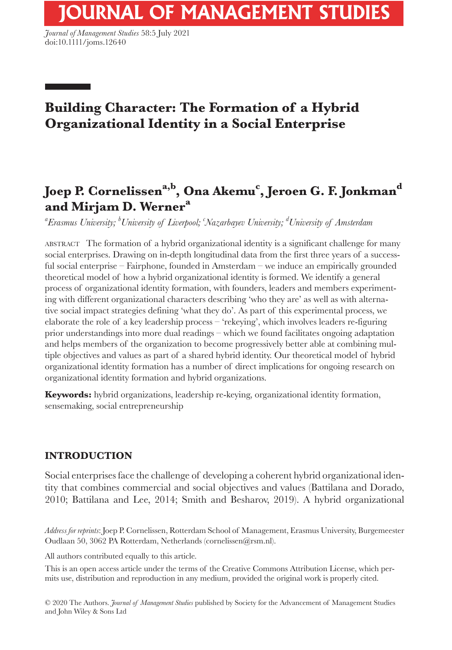# **JOURNAL OF MANAGEMENT STUDIES**

*Journal of Management Studies* 58:5 July 2021 doi:10.1111/joms.12640

## **Building Character: The Formation of a Hybrid Organizational Identity in a Social Enterprise**

## Joep P. Cornelissen<sup>a,b</sup>, Ona Akemu<sup>c</sup>, Jeroen G. F. Jonkman<sup>d</sup> and Mirjam D. Werner<sup>a</sup>

*a Erasmus University; b University of Liverpool; c Nazarbayev University; <sup>d</sup> University of Amsterdam*

ABSTRACT The formation of a hybrid organizational identity is a significant challenge for many social enterprises. Drawing on in-depth longitudinal data from the first three years of a successful social enterprise – Fairphone, founded in Amsterdam – we induce an empirically grounded theoretical model of how a hybrid organizational identity is formed. We identify a general process of organizational identity formation, with founders, leaders and members experimenting with different organizational characters describing 'who they are' as well as with alternative social impact strategies defining 'what they do'. As part of this experimental process, we elaborate the role of a key leadership process – 'rekeying', which involves leaders re-figuring prior understandings into more dual readings – which we found facilitates ongoing adaptation and helps members of the organization to become progressively better able at combining multiple objectives and values as part of a shared hybrid identity. Our theoretical model of hybrid organizational identity formation has a number of direct implications for ongoing research on organizational identity formation and hybrid organizations.

**Keywords:** hybrid organizations, leadership re-keying, organizational identity formation, sensemaking, social entrepreneurship

## **INTRODUCTION**

Social enterprises face the challenge of developing a coherent hybrid organizational identity that combines commercial and social objectives and values (Battilana and Dorado, 2010; Battilana and Lee, 2014; Smith and Besharov, 2019). A hybrid organizational

*Address for reprints*: Joep P. Cornelissen, Rotterdam School of Management, Erasmus University, Burgemeester Oudlaan 50, 3062 PA Rotterdam, Netherlands ([cornelissen@rsm.nl\)](mailto:cornelissen@rsm.nl).

All authors contributed equally to this article.

This is an open access article under the terms of the [Creative Commons Attribution](http://creativecommons.org/licenses/by/4.0/) License, which permits use, distribution and reproduction in any medium, provided the original work is properly cited.

© 2020 The Authors. *Journal of Management Studies* published by Society for the Advancement of Management Studies and John Wiley & Sons Ltd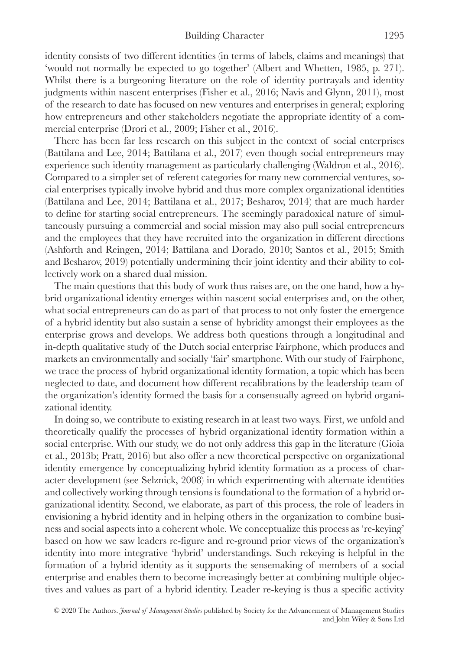identity consists of two different identities (in terms of labels, claims and meanings) that 'would not normally be expected to go together' (Albert and Whetten, 1985, p. 271). Whilst there is a burgeoning literature on the role of identity portrayals and identity judgments within nascent enterprises (Fisher et al., 2016; Navis and Glynn, 2011), most of the research to date has focused on new ventures and enterprises in general; exploring how entrepreneurs and other stakeholders negotiate the appropriate identity of a commercial enterprise (Drori et al., 2009; Fisher et al., 2016).

There has been far less research on this subject in the context of social enterprises (Battilana and Lee, 2014; Battilana et al., 2017) even though social entrepreneurs may experience such identity management as particularly challenging (Waldron et al., 2016). Compared to a simpler set of referent categories for many new commercial ventures, social enterprises typically involve hybrid and thus more complex organizational identities (Battilana and Lee, 2014; Battilana et al., 2017; Besharov, 2014) that are much harder to define for starting social entrepreneurs. The seemingly paradoxical nature of simultaneously pursuing a commercial and social mission may also pull social entrepreneurs and the employees that they have recruited into the organization in different directions (Ashforth and Reingen, 2014; Battilana and Dorado, 2010; Santos et al., 2015; Smith and Besharov, 2019) potentially undermining their joint identity and their ability to collectively work on a shared dual mission.

The main questions that this body of work thus raises are, on the one hand, how a hybrid organizational identity emerges within nascent social enterprises and, on the other, what social entrepreneurs can do as part of that process to not only foster the emergence of a hybrid identity but also sustain a sense of hybridity amongst their employees as the enterprise grows and develops. We address both questions through a longitudinal and in-depth qualitative study of the Dutch social enterprise Fairphone, which produces and markets an environmentally and socially 'fair' smartphone. With our study of Fairphone, we trace the process of hybrid organizational identity formation, a topic which has been neglected to date, and document how different recalibrations by the leadership team of the organization's identity formed the basis for a consensually agreed on hybrid organizational identity.

In doing so, we contribute to existing research in at least two ways. First, we unfold and theoretically qualify the processes of hybrid organizational identity formation within a social enterprise. With our study, we do not only address this gap in the literature (Gioia et al., 2013b; Pratt, 2016) but also offer a new theoretical perspective on organizational identity emergence by conceptualizing hybrid identity formation as a process of character development (see Selznick, 2008) in which experimenting with alternate identities and collectively working through tensions is foundational to the formation of a hybrid organizational identity. Second, we elaborate, as part of this process, the role of leaders in envisioning a hybrid identity and in helping others in the organization to combine business and social aspects into a coherent whole. We conceptualize this process as 're-keying' based on how we saw leaders re-figure and re-ground prior views of the organization's identity into more integrative 'hybrid' understandings. Such rekeying is helpful in the formation of a hybrid identity as it supports the sensemaking of members of a social enterprise and enables them to become increasingly better at combining multiple objectives and values as part of a hybrid identity. Leader re-keying is thus a specific activity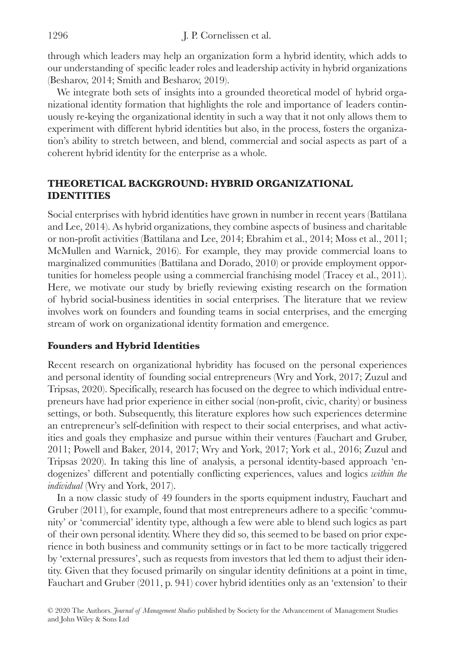through which leaders may help an organization form a hybrid identity, which adds to our understanding of specific leader roles and leadership activity in hybrid organizations (Besharov, 2014; Smith and Besharov, 2019).

We integrate both sets of insights into a grounded theoretical model of hybrid organizational identity formation that highlights the role and importance of leaders continuously re-keying the organizational identity in such a way that it not only allows them to experiment with different hybrid identities but also, in the process, fosters the organization's ability to stretch between, and blend, commercial and social aspects as part of a coherent hybrid identity for the enterprise as a whole.

## **THEORETICAL BACKGROUND: HYBRID ORGANIZATIONAL IDENTITIES**

Social enterprises with hybrid identities have grown in number in recent years (Battilana and Lee, 2014). As hybrid organizations, they combine aspects of business and charitable or non-profit activities (Battilana and Lee, 2014; Ebrahim et al., 2014; Moss et al., 2011; McMullen and Warnick, 2016). For example, they may provide commercial loans to marginalized communities (Battilana and Dorado, 2010) or provide employment opportunities for homeless people using a commercial franchising model (Tracey et al., 2011). Here, we motivate our study by briefly reviewing existing research on the formation of hybrid social-business identities in social enterprises. The literature that we review involves work on founders and founding teams in social enterprises, and the emerging stream of work on organizational identity formation and emergence.

## **Founders and Hybrid Identities**

Recent research on organizational hybridity has focused on the personal experiences and personal identity of founding social entrepreneurs (Wry and York, 2017; Zuzul and Tripsas, 2020). Specifically, research has focused on the degree to which individual entrepreneurs have had prior experience in either social (non-profit, civic, charity) or business settings, or both. Subsequently, this literature explores how such experiences determine an entrepreneur's self-definition with respect to their social enterprises, and what activities and goals they emphasize and pursue within their ventures (Fauchart and Gruber, 2011; Powell and Baker, 2014, 2017; Wry and York, 2017; York et al., 2016; Zuzul and Tripsas 2020). In taking this line of analysis, a personal identity-based approach 'endogenizes' different and potentially conflicting experiences, values and logics *within the individual* (Wry and York, 2017).

In a now classic study of 49 founders in the sports equipment industry, Fauchart and Gruber (2011), for example, found that most entrepreneurs adhere to a specific 'community' or 'commercial' identity type, although a few were able to blend such logics as part of their own personal identity. Where they did so, this seemed to be based on prior experience in both business and community settings or in fact to be more tactically triggered by 'external pressures', such as requests from investors that led them to adjust their identity. Given that they focused primarily on singular identity definitions at a point in time, Fauchart and Gruber (2011, p. 941) cover hybrid identities only as an 'extension' to their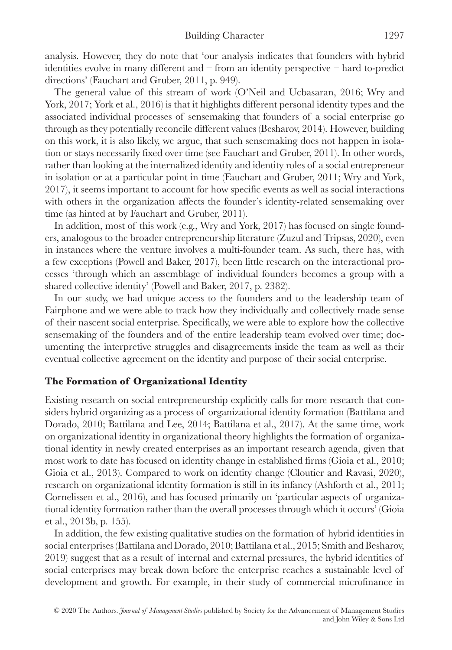analysis. However, they do note that 'our analysis indicates that founders with hybrid identities evolve in many different and – from an identity perspective – hard to-predict directions' (Fauchart and Gruber, 2011, p. 949).

The general value of this stream of work (O'Neil and Ucbasaran, 2016; Wry and York, 2017; York et al., 2016) is that it highlights different personal identity types and the associated individual processes of sensemaking that founders of a social enterprise go through as they potentially reconcile different values (Besharov, 2014). However, building on this work, it is also likely, we argue, that such sensemaking does not happen in isolation or stays necessarily fixed over time (see Fauchart and Gruber, 2011). In other words, rather than looking at the internalized identity and identity roles of a social entrepreneur in isolation or at a particular point in time (Fauchart and Gruber, 2011; Wry and York, 2017), it seems important to account for how specific events as well as social interactions with others in the organization affects the founder's identity-related sensemaking over time (as hinted at by Fauchart and Gruber, 2011).

In addition, most of this work (e.g., Wry and York, 2017) has focused on single founders, analogous to the broader entrepreneurship literature (Zuzul and Tripsas, 2020), even in instances where the venture involves a multi-founder team. As such, there has, with a few exceptions (Powell and Baker, 2017), been little research on the interactional processes 'through which an assemblage of individual founders becomes a group with a shared collective identity' (Powell and Baker, 2017, p. 2382).

In our study, we had unique access to the founders and to the leadership team of Fairphone and we were able to track how they individually and collectively made sense of their nascent social enterprise. Specifically, we were able to explore how the collective sensemaking of the founders and of the entire leadership team evolved over time; documenting the interpretive struggles and disagreements inside the team as well as their eventual collective agreement on the identity and purpose of their social enterprise.

## **The Formation of Organizational Identity**

Existing research on social entrepreneurship explicitly calls for more research that considers hybrid organizing as a process of organizational identity formation (Battilana and Dorado, 2010; Battilana and Lee, 2014; Battilana et al., 2017). At the same time, work on organizational identity in organizational theory highlights the formation of organizational identity in newly created enterprises as an important research agenda, given that most work to date has focused on identity change in established firms (Gioia et al., 2010; Gioia et al., 2013). Compared to work on identity change (Cloutier and Ravasi, 2020), research on organizational identity formation is still in its infancy (Ashforth et al., 2011; Cornelissen et al., 2016), and has focused primarily on 'particular aspects of organizational identity formation rather than the overall processes through which it occurs' (Gioia et al., 2013b, p. 155).

In addition, the few existing qualitative studies on the formation of hybrid identities in social enterprises (Battilana and Dorado, 2010; Battilana et al., 2015; Smith and Besharov, 2019) suggest that as a result of internal and external pressures, the hybrid identities of social enterprises may break down before the enterprise reaches a sustainable level of development and growth. For example, in their study of commercial microfinance in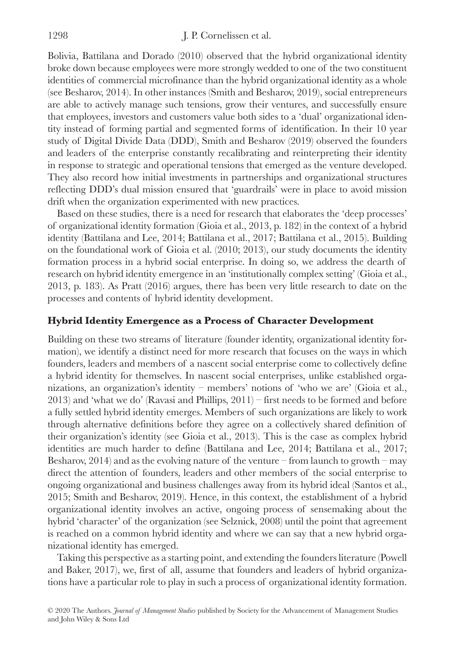Bolivia, Battilana and Dorado (2010) observed that the hybrid organizational identity broke down because employees were more strongly wedded to one of the two constituent identities of commercial microfinance than the hybrid organizational identity as a whole (see Besharov, 2014). In other instances (Smith and Besharov, 2019), social entrepreneurs are able to actively manage such tensions, grow their ventures, and successfully ensure that employees, investors and customers value both sides to a 'dual' organizational identity instead of forming partial and segmented forms of identification. In their 10 year study of Digital Divide Data (DDD), Smith and Besharov (2019) observed the founders and leaders of the enterprise constantly recalibrating and reinterpreting their identity in response to strategic and operational tensions that emerged as the venture developed. They also record how initial investments in partnerships and organizational structures reflecting DDD's dual mission ensured that 'guardrails' were in place to avoid mission drift when the organization experimented with new practices.

Based on these studies, there is a need for research that elaborates the 'deep processes' of organizational identity formation (Gioia et al., 2013, p. 182) in the context of a hybrid identity (Battilana and Lee, 2014; Battilana et al., 2017; Battilana et al., 2015). Building on the foundational work of Gioia et al. (2010; 2013), our study documents the identity formation process in a hybrid social enterprise. In doing so, we address the dearth of research on hybrid identity emergence in an 'institutionally complex setting' (Gioia et al., 2013, p. 183). As Pratt (2016) argues, there has been very little research to date on the processes and contents of hybrid identity development.

#### **Hybrid Identity Emergence as a Process of Character Development**

Building on these two streams of literature (founder identity, organizational identity formation), we identify a distinct need for more research that focuses on the ways in which founders, leaders and members of a nascent social enterprise come to collectively define a hybrid identity for themselves. In nascent social enterprises, unlike established organizations, an organization's identity – members' notions of 'who we are' (Gioia et al., 2013) and 'what we do' (Ravasi and Phillips, 2011) – first needs to be formed and before a fully settled hybrid identity emerges. Members of such organizations are likely to work through alternative definitions before they agree on a collectively shared definition of their organization's identity (see Gioia et al., 2013). This is the case as complex hybrid identities are much harder to define (Battilana and Lee, 2014; Battilana et al., 2017; Besharov, 2014) and as the evolving nature of the venture – from launch to growth – may direct the attention of founders, leaders and other members of the social enterprise to ongoing organizational and business challenges away from its hybrid ideal (Santos et al., 2015; Smith and Besharov, 2019). Hence, in this context, the establishment of a hybrid organizational identity involves an active, ongoing process of sensemaking about the hybrid 'character' of the organization (see Selznick, 2008) until the point that agreement is reached on a common hybrid identity and where we can say that a new hybrid organizational identity has emerged.

Taking this perspective as a starting point, and extending the founders literature (Powell and Baker, 2017), we, first of all, assume that founders and leaders of hybrid organizations have a particular role to play in such a process of organizational identity formation.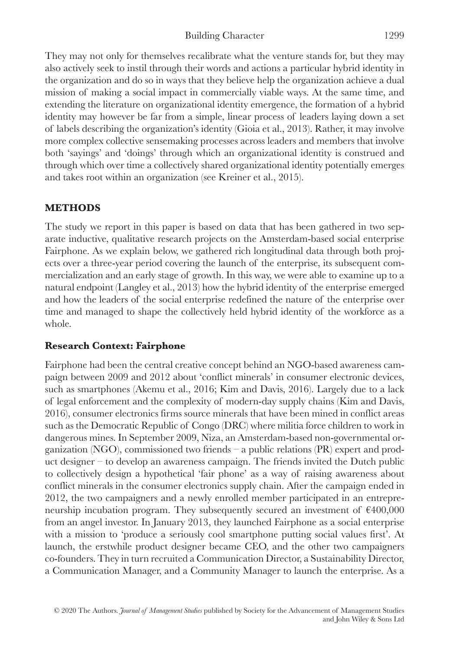They may not only for themselves recalibrate what the venture stands for, but they may also actively seek to instil through their words and actions a particular hybrid identity in the organization and do so in ways that they believe help the organization achieve a dual mission of making a social impact in commercially viable ways. At the same time, and extending the literature on organizational identity emergence, the formation of a hybrid identity may however be far from a simple, linear process of leaders laying down a set of labels describing the organization's identity (Gioia et al., 2013). Rather, it may involve more complex collective sensemaking processes across leaders and members that involve both 'sayings' and 'doings' through which an organizational identity is construed and through which over time a collectively shared organizational identity potentially emerges and takes root within an organization (see Kreiner et al., 2015).

## **METHODS**

The study we report in this paper is based on data that has been gathered in two separate inductive, qualitative research projects on the Amsterdam-based social enterprise Fairphone. As we explain below, we gathered rich longitudinal data through both projects over a three-year period covering the launch of the enterprise, its subsequent commercialization and an early stage of growth. In this way, we were able to examine up to a natural endpoint (Langley et al., 2013) how the hybrid identity of the enterprise emerged and how the leaders of the social enterprise redefined the nature of the enterprise over time and managed to shape the collectively held hybrid identity of the workforce as a whole.

## **Research Context: Fairphone**

Fairphone had been the central creative concept behind an NGO-based awareness campaign between 2009 and 2012 about 'conflict minerals' in consumer electronic devices, such as smartphones (Akemu et al., 2016; Kim and Davis, 2016). Largely due to a lack of legal enforcement and the complexity of modern-day supply chains (Kim and Davis, 2016), consumer electronics firms source minerals that have been mined in conflict areas such as the Democratic Republic of Congo (DRC) where militia force children to work in dangerous mines. In September 2009, Niza, an Amsterdam-based non-governmental organization (NGO), commissioned two friends – a public relations (PR) expert and product designer – to develop an awareness campaign. The friends invited the Dutch public to collectively design a hypothetical 'fair phone' as a way of raising awareness about conflict minerals in the consumer electronics supply chain. After the campaign ended in 2012, the two campaigners and a newly enrolled member participated in an entrepreneurship incubation program. They subsequently secured an investment of €400,000 from an angel investor. In January 2013, they launched Fairphone as a social enterprise with a mission to 'produce a seriously cool smartphone putting social values first'. At launch, the erstwhile product designer became CEO, and the other two campaigners co-founders. They in turn recruited a Communication Director, a Sustainability Director, a Communication Manager, and a Community Manager to launch the enterprise. As a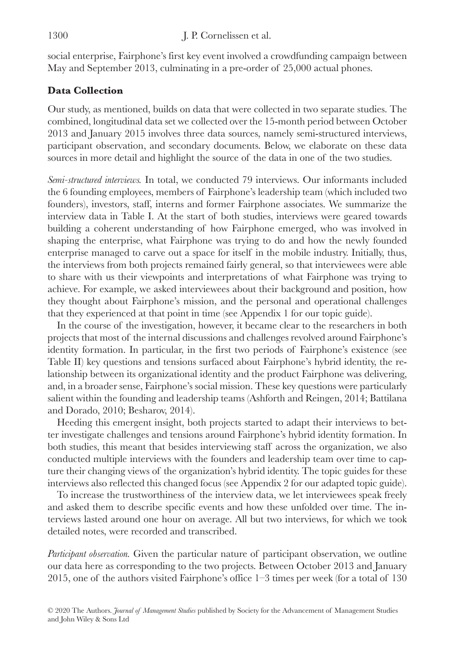social enterprise, Fairphone's first key event involved a crowdfunding campaign between May and September 2013, culminating in a pre-order of 25,000 actual phones.

## **Data Collection**

Our study, as mentioned, builds on data that were collected in two separate studies. The combined, longitudinal data set we collected over the 15-month period between October 2013 and January 2015 involves three data sources, namely semi-structured interviews, participant observation, and secondary documents. Below, we elaborate on these data sources in more detail and highlight the source of the data in one of the two studies.

*Semi-structured interviews.* In total, we conducted 79 interviews. Our informants included the 6 founding employees, members of Fairphone's leadership team (which included two founders), investors, staff, interns and former Fairphone associates. We summarize the interview data in Table I. At the start of both studies, interviews were geared towards building a coherent understanding of how Fairphone emerged, who was involved in shaping the enterprise, what Fairphone was trying to do and how the newly founded enterprise managed to carve out a space for itself in the mobile industry. Initially, thus, the interviews from both projects remained fairly general, so that interviewees were able to share with us their viewpoints and interpretations of what Fairphone was trying to achieve. For example, we asked interviewees about their background and position, how they thought about Fairphone's mission, and the personal and operational challenges that they experienced at that point in time (see Appendix 1 for our topic guide).

In the course of the investigation, however, it became clear to the researchers in both projects that most of the internal discussions and challenges revolved around Fairphone's identity formation. In particular, in the first two periods of Fairphone's existence (see Table II) key questions and tensions surfaced about Fairphone's hybrid identity, the relationship between its organizational identity and the product Fairphone was delivering, and, in a broader sense, Fairphone's social mission. These key questions were particularly salient within the founding and leadership teams (Ashforth and Reingen, 2014; Battilana and Dorado, 2010; Besharov, 2014).

Heeding this emergent insight, both projects started to adapt their interviews to better investigate challenges and tensions around Fairphone's hybrid identity formation. In both studies, this meant that besides interviewing staff across the organization, we also conducted multiple interviews with the founders and leadership team over time to capture their changing views of the organization's hybrid identity. The topic guides for these interviews also reflected this changed focus (see Appendix 2 for our adapted topic guide).

To increase the trustworthiness of the interview data, we let interviewees speak freely and asked them to describe specific events and how these unfolded over time. The interviews lasted around one hour on average. All but two interviews, for which we took detailed notes, were recorded and transcribed.

*Participant observation.* Given the particular nature of participant observation, we outline our data here as corresponding to the two projects. Between October 2013 and January 2015, one of the authors visited Fairphone's office 1–3 times per week (for a total of 130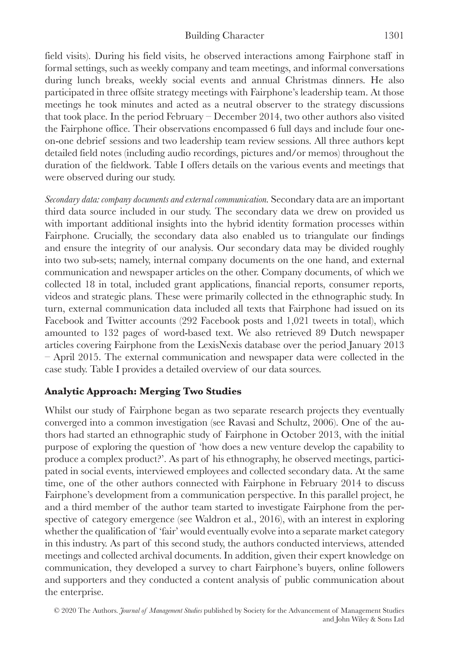field visits). During his field visits, he observed interactions among Fairphone staff in formal settings, such as weekly company and team meetings, and informal conversations during lunch breaks, weekly social events and annual Christmas dinners. He also participated in three offsite strategy meetings with Fairphone's leadership team. At those meetings he took minutes and acted as a neutral observer to the strategy discussions that took place. In the period February – December 2014, two other authors also visited the Fairphone office. Their observations encompassed 6 full days and include four oneon-one debrief sessions and two leadership team review sessions. All three authors kept detailed field notes (including audio recordings, pictures and/or memos) throughout the duration of the fieldwork. Table I offers details on the various events and meetings that were observed during our study.

*Secondary data: company documents and external communication.* Secondary data are an important third data source included in our study. The secondary data we drew on provided us with important additional insights into the hybrid identity formation processes within Fairphone. Crucially, the secondary data also enabled us to triangulate our findings and ensure the integrity of our analysis. Our secondary data may be divided roughly into two sub-sets; namely, internal company documents on the one hand, and external communication and newspaper articles on the other. Company documents, of which we collected 18 in total, included grant applications, financial reports, consumer reports, videos and strategic plans. These were primarily collected in the ethnographic study. In turn, external communication data included all texts that Fairphone had issued on its Facebook and Twitter accounts (292 Facebook posts and 1,021 tweets in total), which amounted to 132 pages of word-based text. We also retrieved 89 Dutch newspaper articles covering Fairphone from the LexisNexis database over the period January 2013 – April 2015. The external communication and newspaper data were collected in the case study. Table I provides a detailed overview of our data sources.

## **Analytic Approach: Merging Two Studies**

Whilst our study of Fairphone began as two separate research projects they eventually converged into a common investigation (see Ravasi and Schultz, 2006). One of the authors had started an ethnographic study of Fairphone in October 2013, with the initial purpose of exploring the question of 'how does a new venture develop the capability to produce a complex product?'. As part of his ethnography, he observed meetings, participated in social events, interviewed employees and collected secondary data. At the same time, one of the other authors connected with Fairphone in February 2014 to discuss Fairphone's development from a communication perspective. In this parallel project, he and a third member of the author team started to investigate Fairphone from the perspective of category emergence (see Waldron et al., 2016), with an interest in exploring whether the qualification of 'fair' would eventually evolve into a separate market category in this industry. As part of this second study, the authors conducted interviews, attended meetings and collected archival documents. In addition, given their expert knowledge on communication, they developed a survey to chart Fairphone's buyers, online followers and supporters and they conducted a content analysis of public communication about the enterprise.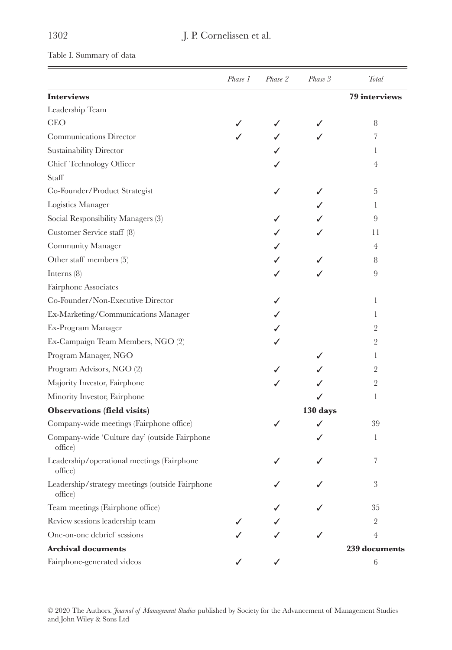## 1302 J. P. Cornelissen et al.

Table I. Summary of data

|                                                            | Phase 1 | Phase 2 | Phase 3  | <b>Total</b>   |
|------------------------------------------------------------|---------|---------|----------|----------------|
| <b>Interviews</b>                                          |         |         |          | 79 interviews  |
| Leadership Team                                            |         |         |          |                |
| <b>CEO</b>                                                 |         |         |          | 8              |
| Communications Director                                    |         |         |          | 7              |
| <b>Sustainability Director</b>                             |         |         |          | 1              |
| Chief Technology Officer                                   |         |         |          | 4              |
| Staff                                                      |         |         |          |                |
| Co-Founder/Product Strategist                              |         |         | ✓        | 5              |
| Logistics Manager                                          |         |         |          | 1              |
| Social Responsibility Managers (3)                         |         |         |          | 9              |
| Customer Service staff (8)                                 |         |         |          | 11             |
| Community Manager                                          |         |         |          | $\overline{4}$ |
| Other staff members (5)                                    |         |         |          | 8              |
| Interns $(8)$                                              |         |         |          | 9              |
| Fairphone Associates                                       |         |         |          |                |
| Co-Founder/Non-Executive Director                          |         |         |          | 1              |
| Ex-Marketing/Communications Manager                        |         |         |          | 1              |
| Ex-Program Manager                                         |         |         |          | $\overline{2}$ |
| Ex-Campaign Team Members, NGO (2)                          |         |         |          | $\overline{2}$ |
| Program Manager, NGO                                       |         |         |          | 1              |
| Program Advisors, NGO (2)                                  |         |         |          | $\overline{2}$ |
| Majority Investor, Fairphone                               |         |         |          | $\overline{2}$ |
| Minority Investor, Fairphone                               |         |         |          | 1              |
| <b>Observations (field visits)</b>                         |         |         | 130 days |                |
| Company-wide meetings (Fairphone office)                   |         |         | ✓        | 39             |
| Company-wide 'Culture day' (outside Fairphone<br>office)   |         |         |          | 1              |
| Leadership/operational meetings (Fairphone<br>office)      |         |         |          | 7              |
| Leadership/strategy meetings (outside Fairphone<br>office) |         |         |          | 3              |
| Team meetings (Fairphone office)                           |         |         |          | 35             |
| Review sessions leadership team                            |         |         |          | 2              |
| One-on-one debrief sessions                                |         |         | ✓        | $\overline{4}$ |
| <b>Archival documents</b>                                  |         |         |          | 239 documents  |
| Fairphone-generated videos                                 |         |         |          | $\,6\,$        |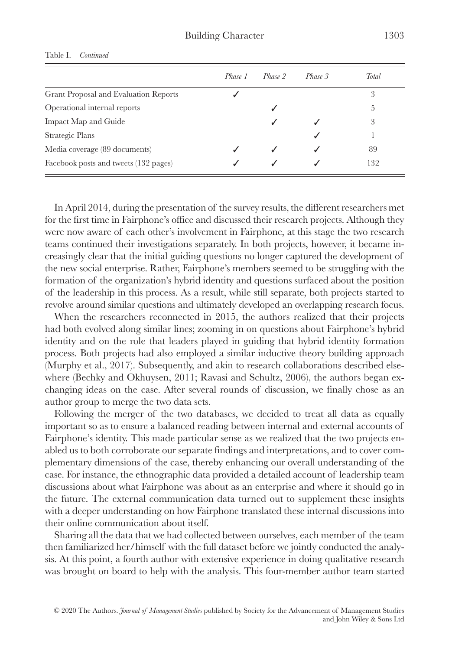|                                       | Phase 1 | Phase 2 | Phase 3 | Total |
|---------------------------------------|---------|---------|---------|-------|
| Grant Proposal and Evaluation Reports |         |         |         | 3     |
| Operational internal reports          |         |         |         | 5     |
| Impact Map and Guide                  |         |         |         | 3     |
| <b>Strategic Plans</b>                |         |         |         |       |
| Media coverage (89 documents)         |         |         |         | 89    |
| Facebook posts and tweets (132 pages) |         |         |         | 132   |

Table I. *Continued*

In April 2014, during the presentation of the survey results, the different researchers met for the first time in Fairphone's office and discussed their research projects. Although they were now aware of each other's involvement in Fairphone, at this stage the two research teams continued their investigations separately. In both projects, however, it became increasingly clear that the initial guiding questions no longer captured the development of the new social enterprise. Rather, Fairphone's members seemed to be struggling with the formation of the organization's hybrid identity and questions surfaced about the position of the leadership in this process. As a result, while still separate, both projects started to revolve around similar questions and ultimately developed an overlapping research focus.

When the researchers reconnected in 2015, the authors realized that their projects had both evolved along similar lines; zooming in on questions about Fairphone's hybrid identity and on the role that leaders played in guiding that hybrid identity formation process. Both projects had also employed a similar inductive theory building approach (Murphy et al., 2017). Subsequently, and akin to research collaborations described elsewhere (Bechky and Okhuysen, 2011; Ravasi and Schultz, 2006), the authors began exchanging ideas on the case. After several rounds of discussion, we finally chose as an author group to merge the two data sets.

Following the merger of the two databases, we decided to treat all data as equally important so as to ensure a balanced reading between internal and external accounts of Fairphone's identity. This made particular sense as we realized that the two projects enabled us to both corroborate our separate findings and interpretations, and to cover complementary dimensions of the case, thereby enhancing our overall understanding of the case. For instance, the ethnographic data provided a detailed account of leadership team discussions about what Fairphone was about as an enterprise and where it should go in the future. The external communication data turned out to supplement these insights with a deeper understanding on how Fairphone translated these internal discussions into their online communication about itself.

Sharing all the data that we had collected between ourselves, each member of the team then familiarized her/himself with the full dataset before we jointly conducted the analysis. At this point, a fourth author with extensive experience in doing qualitative research was brought on board to help with the analysis. This four-member author team started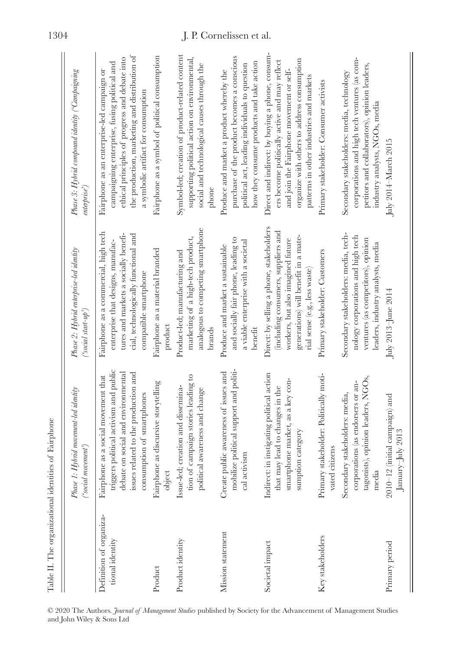|                                                                                                                                                                | Table II. The organizational identities of Fairphone                                                                                                                                      |                                                                                                                                                                                               |                                                                                                                                                                                                                                         |
|----------------------------------------------------------------------------------------------------------------------------------------------------------------|-------------------------------------------------------------------------------------------------------------------------------------------------------------------------------------------|-----------------------------------------------------------------------------------------------------------------------------------------------------------------------------------------------|-----------------------------------------------------------------------------------------------------------------------------------------------------------------------------------------------------------------------------------------|
|                                                                                                                                                                | Phase 1: Hybrid movement-led identity<br>$('social\,moment')$                                                                                                                             | Phase 2: Hybrid enterprise-led identity<br>$("part-up")$                                                                                                                                      | Phase 3: Hybrid compound identity ('Campaigning<br>enterprise')                                                                                                                                                                         |
| Definition of organiza-<br>tional identity<br>© 2020 The Authors. Journal of Management Studies published by Society for the Advancement of Management Studies | Fairphone as a social movement that<br>triggers political activism and public<br>debate on social and environmental<br>issues related to the production and<br>consumption of smartphones | Fairphone as a commercial, high tech<br>tures and markets a socially benefi-<br>cial, technologically functional and<br>enterprise that designs, manufac-<br>compatible smartphone            | the production, marketing and distribution of<br>ethical principles of progress and debate into<br>campaigning enterprise, fusing political and<br>Fairphone as an enterprise-led campaign or<br>a symbolic artifact for consumption    |
| Product                                                                                                                                                        | Fairphone as discursive storytelling<br>object                                                                                                                                            | Fairphone as a material branded<br>product                                                                                                                                                    | Fairphone as a symbol of political consumption                                                                                                                                                                                          |
| Product identity                                                                                                                                               | campaign stories leading to<br>creation and dissemina-<br>political awareness and change<br>Issue-led;<br>tion of                                                                         | analogous to competing smartphone<br>marketing of a high-tech product,<br>Product-led; manufacturing and<br>brands                                                                            | Symbol-led; creation of product-related content<br>supporting political action on environmental,<br>social and technological causes through the<br>phone                                                                                |
| Mission statement                                                                                                                                              | mobilize political support and politi-<br>Create public awareness of issues and<br>cal activism                                                                                           | and socially fair phone, leading to<br>a viable enterprise with a societal<br>Produce and market a sustainable<br>benefit                                                                     | purchase of the product becomes a conscious<br>how they consume products and take action<br>political act, leading individuals to question<br>Produce and market a product whereby the                                                  |
| Societal impact                                                                                                                                                | in instigating political action<br>smartphone market, as a key con-<br>that may lead to changes in the<br>sumption category<br>Indirect:                                                  | Direct: by selling a phone, stakeholders<br>(including consumers, suppliers and<br>generations) will benefit in a mate-<br>workers, but also imagined future<br>rial sense (e.g., less waste) | Direct and indirect: by buying a phone, consum-<br>organize with others to address consumption<br>ers become politically active and may reflect<br>and join the Fairphone movement or self-<br>patterns in other industries and markets |
| Key stakeholders                                                                                                                                               | Primary stakeholder: Politically moti-<br>vated citizens                                                                                                                                  | Primary stakeholder: Customers                                                                                                                                                                | Primary stakeholder: Consumer activists                                                                                                                                                                                                 |
|                                                                                                                                                                | tagonists), opinion leaders, NGOs,<br>corporations (as endorsers or an-<br>Secondary stakeholders: media,<br>media                                                                        | Secondary stakeholders: media, tech-<br>nology corporations and high tech<br>ventures (as competitors), opinion<br>leaders, industry analysts, media                                          | corporations and high tech ventures (as com-<br>petitors and collaborators), opinion leaders,<br>Secondary stakeholders: media, technology<br>industry analysts, NGOs, media                                                            |
| Primary period                                                                                                                                                 | (initial campaign) and<br>January-July 2013<br>$2010 - 12$                                                                                                                                | July 2013–June 2014                                                                                                                                                                           | July 2014–March 2015                                                                                                                                                                                                                    |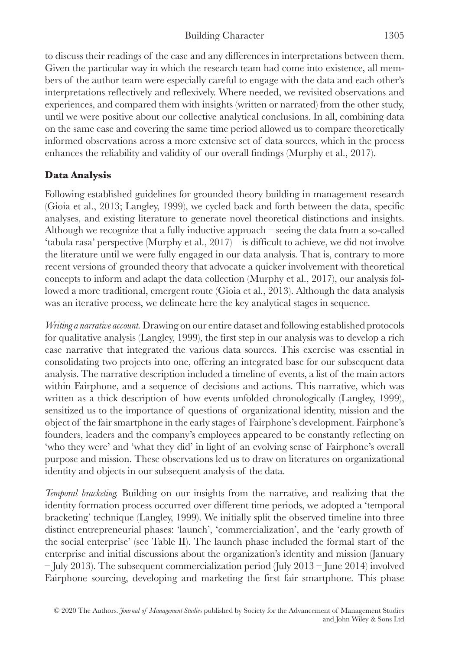to discuss their readings of the case and any differences in interpretations between them. Given the particular way in which the research team had come into existence, all members of the author team were especially careful to engage with the data and each other's interpretations reflectively and reflexively. Where needed, we revisited observations and experiences, and compared them with insights (written or narrated) from the other study, until we were positive about our collective analytical conclusions. In all, combining data on the same case and covering the same time period allowed us to compare theoretically informed observations across a more extensive set of data sources, which in the process enhances the reliability and validity of our overall findings (Murphy et al., 2017).

## **Data Analysis**

Following established guidelines for grounded theory building in management research (Gioia et al., 2013; Langley, 1999), we cycled back and forth between the data, specific analyses, and existing literature to generate novel theoretical distinctions and insights. Although we recognize that a fully inductive approach – seeing the data from a so-called 'tabula rasa' perspective (Murphy et al., 2017) – is difficult to achieve, we did not involve the literature until we were fully engaged in our data analysis. That is, contrary to more recent versions of grounded theory that advocate a quicker involvement with theoretical concepts to inform and adapt the data collection (Murphy et al., 2017), our analysis followed a more traditional, emergent route (Gioia et al., 2013). Although the data analysis was an iterative process, we delineate here the key analytical stages in sequence.

*Writing a narrative account.* Drawing on our entire dataset and following established protocols for qualitative analysis (Langley, 1999), the first step in our analysis was to develop a rich case narrative that integrated the various data sources. This exercise was essential in consolidating two projects into one, offering an integrated base for our subsequent data analysis. The narrative description included a timeline of events, a list of the main actors within Fairphone, and a sequence of decisions and actions. This narrative, which was written as a thick description of how events unfolded chronologically (Langley, 1999), sensitized us to the importance of questions of organizational identity, mission and the object of the fair smartphone in the early stages of Fairphone's development. Fairphone's founders, leaders and the company's employees appeared to be constantly reflecting on 'who they were' and 'what they did' in light of an evolving sense of Fairphone's overall purpose and mission. These observations led us to draw on literatures on organizational identity and objects in our subsequent analysis of the data.

*Temporal bracketing.* Building on our insights from the narrative, and realizing that the identity formation process occurred over different time periods, we adopted a 'temporal bracketing' technique (Langley, 1999). We initially split the observed timeline into three distinct entrepreneurial phases: 'launch', 'commercialization', and the 'early growth of the social enterprise' (see Table II). The launch phase included the formal start of the enterprise and initial discussions about the organization's identity and mission (January – July 2013). The subsequent commercialization period (July 2013 – June 2014) involved Fairphone sourcing, developing and marketing the first fair smartphone. This phase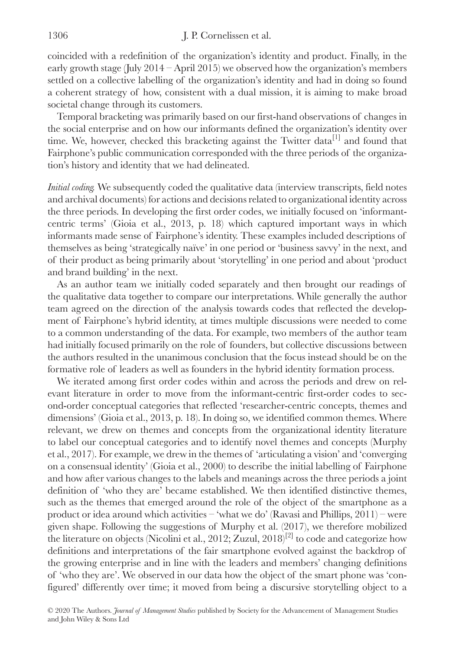coincided with a redefinition of the organization's identity and product. Finally, in the early growth stage (July 2014 – April 2015) we observed how the organization's members settled on a collective labelling of the organization's identity and had in doing so found a coherent strategy of how, consistent with a dual mission, it is aiming to make broad societal change through its customers.

Temporal bracketing was primarily based on our first-hand observations of changes in the social enterprise and on how our informants defined the organization's identity over time. We, however, checked this bracketing against the Twitter data<sup>[1]</sup> and found that Fairphone's public communication corresponded with the three periods of the organization's history and identity that we had delineated.

*Initial coding.* We subsequently coded the qualitative data (interview transcripts, field notes and archival documents) for actions and decisions related to organizational identity across the three periods. In developing the first order codes, we initially focused on 'informantcentric terms' (Gioia et al., 2013, p. 18) which captured important ways in which informants made sense of Fairphone's identity. These examples included descriptions of themselves as being 'strategically naïve' in one period or 'business savvy' in the next, and of their product as being primarily about 'storytelling' in one period and about 'product and brand building' in the next.

As an author team we initially coded separately and then brought our readings of the qualitative data together to compare our interpretations. While generally the author team agreed on the direction of the analysis towards codes that reflected the development of Fairphone's hybrid identity, at times multiple discussions were needed to come to a common understanding of the data. For example, two members of the author team had initially focused primarily on the role of founders, but collective discussions between the authors resulted in the unanimous conclusion that the focus instead should be on the formative role of leaders as well as founders in the hybrid identity formation process.

We iterated among first order codes within and across the periods and drew on relevant literature in order to move from the informant-centric first-order codes to second-order conceptual categories that reflected 'researcher-centric concepts, themes and dimensions' (Gioia et al., 2013, p. 18). In doing so, we identified common themes. Where relevant, we drew on themes and concepts from the organizational identity literature to label our conceptual categories and to identify novel themes and concepts (Murphy et al., 2017). For example, we drew in the themes of 'articulating a vision' and 'converging on a consensual identity' (Gioia et al., 2000) to describe the initial labelling of Fairphone and how after various changes to the labels and meanings across the three periods a joint definition of 'who they are' became established. We then identified distinctive themes, such as the themes that emerged around the role of the object of the smartphone as a product or idea around which activities – 'what we do' (Ravasi and Phillips, 2011) – were given shape. Following the suggestions of Murphy et al. (2017), we therefore mobilized the literature on objects (Nicolini et al., 2012; Zuzul, 2018)<sup>[2]</sup> to code and categorize how definitions and interpretations of the fair smartphone evolved against the backdrop of the growing enterprise and in line with the leaders and members' changing definitions of 'who they are'. We observed in our data how the object of the smart phone was 'configured' differently over time; it moved from being a discursive storytelling object to a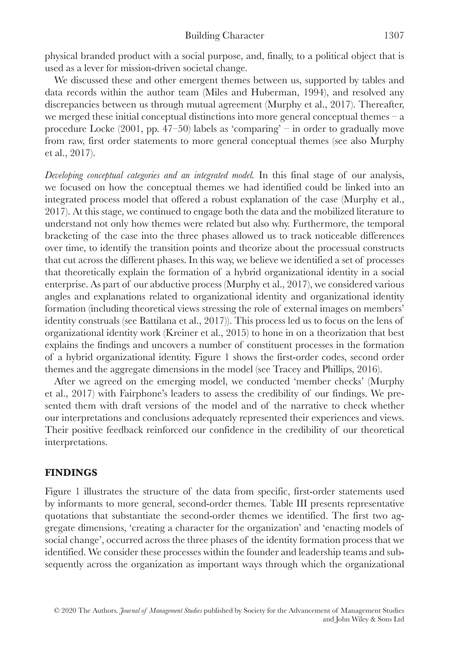physical branded product with a social purpose, and, finally, to a political object that is used as a lever for mission-driven societal change.

We discussed these and other emergent themes between us, supported by tables and data records within the author team (Miles and Huberman, 1994), and resolved any discrepancies between us through mutual agreement (Murphy et al., 2017). Thereafter, we merged these initial conceptual distinctions into more general conceptual themes – a procedure Locke (2001, pp. 47–50) labels as 'comparing' – in order to gradually move from raw, first order statements to more general conceptual themes (see also Murphy et al., 2017).

*Developing conceptual categories and an integrated model.* In this final stage of our analysis, we focused on how the conceptual themes we had identified could be linked into an integrated process model that offered a robust explanation of the case (Murphy et al., 2017). At this stage, we continued to engage both the data and the mobilized literature to understand not only how themes were related but also why. Furthermore, the temporal bracketing of the case into the three phases allowed us to track noticeable differences over time, to identify the transition points and theorize about the processual constructs that cut across the different phases. In this way, we believe we identified a set of processes that theoretically explain the formation of a hybrid organizational identity in a social enterprise. As part of our abductive process (Murphy et al., 2017), we considered various angles and explanations related to organizational identity and organizational identity formation (including theoretical views stressing the role of external images on members' identity construals (see Battilana et al., 2017)). This process led us to focus on the lens of organizational identity work (Kreiner et al., 2015) to hone in on a theorization that best explains the findings and uncovers a number of constituent processes in the formation of a hybrid organizational identity. Figure 1 shows the first-order codes, second order themes and the aggregate dimensions in the model (see Tracey and Phillips, 2016).

After we agreed on the emerging model, we conducted 'member checks' (Murphy et al., 2017) with Fairphone's leaders to assess the credibility of our findings. We presented them with draft versions of the model and of the narrative to check whether our interpretations and conclusions adequately represented their experiences and views. Their positive feedback reinforced our confidence in the credibility of our theoretical interpretations.

## **FINDINGS**

Figure 1 illustrates the structure of the data from specific, first-order statements used by informants to more general, second-order themes. Table III presents representative quotations that substantiate the second-order themes we identified. The first two aggregate dimensions, 'creating a character for the organization' and 'enacting models of social change', occurred across the three phases of the identity formation process that we identified. We consider these processes within the founder and leadership teams and subsequently across the organization as important ways through which the organizational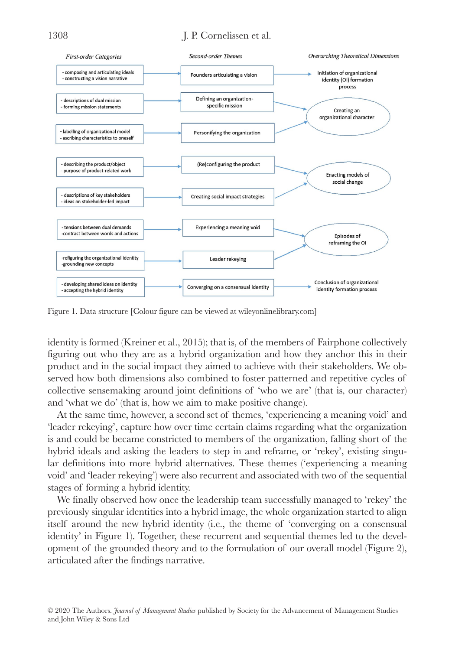

Figure 1. Data structure [Colour figure can be viewed at [wileyonlinelibrary.com](www.wileyonlinelibrary.com)]

identity is formed (Kreiner et al., 2015); that is, of the members of Fairphone collectively figuring out who they are as a hybrid organization and how they anchor this in their product and in the social impact they aimed to achieve with their stakeholders. We observed how both dimensions also combined to foster patterned and repetitive cycles of collective sensemaking around joint definitions of 'who we are' (that is, our character) and 'what we do' (that is, how we aim to make positive change).

At the same time, however, a second set of themes, 'experiencing a meaning void' and 'leader rekeying', capture how over time certain claims regarding what the organization is and could be became constricted to members of the organization, falling short of the hybrid ideals and asking the leaders to step in and reframe, or 'rekey', existing singular definitions into more hybrid alternatives. These themes ('experiencing a meaning void' and 'leader rekeying') were also recurrent and associated with two of the sequential stages of forming a hybrid identity.

We finally observed how once the leadership team successfully managed to 'rekey' the previously singular identities into a hybrid image, the whole organization started to align itself around the new hybrid identity (i.e., the theme of 'converging on a consensual identity' in Figure 1). Together, these recurrent and sequential themes led to the development of the grounded theory and to the formulation of our overall model (Figure 2), articulated after the findings narrative.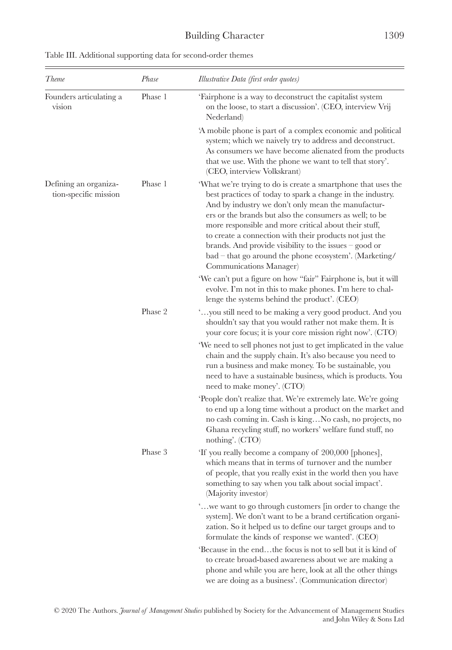| Theme                                          | Phase   | Illustrative Data (first order quotes)                                                                                                                                                                                                                                                                                                                                                                                                                                                                            |
|------------------------------------------------|---------|-------------------------------------------------------------------------------------------------------------------------------------------------------------------------------------------------------------------------------------------------------------------------------------------------------------------------------------------------------------------------------------------------------------------------------------------------------------------------------------------------------------------|
| Founders articulating a<br>vision              | Phase 1 | 'Fairphone is a way to deconstruct the capitalist system<br>on the loose, to start a discussion'. (CEO, interview Vrij<br>Nederland)                                                                                                                                                                                                                                                                                                                                                                              |
|                                                |         | 'A mobile phone is part of a complex economic and political<br>system; which we naively try to address and deconstruct.<br>As consumers we have become alienated from the products<br>that we use. With the phone we want to tell that story'.<br>(CEO, interview Volkskrant)                                                                                                                                                                                                                                     |
| Defining an organiza-<br>tion-specific mission | Phase 1 | 'What we're trying to do is create a smartphone that uses the<br>best practices of today to spark a change in the industry.<br>And by industry we don't only mean the manufactur-<br>ers or the brands but also the consumers as well; to be<br>more responsible and more critical about their stuff,<br>to create a connection with their products not just the<br>brands. And provide visibility to the issues $-$ good or<br>bad – that go around the phone ecosystem'. (Marketing/<br>Communications Manager) |
|                                                |         | 'We can't put a figure on how "fair" Fairphone is, but it will<br>evolve. I'm not in this to make phones. I'm here to chal-<br>lenge the systems behind the product'. (CEO)                                                                                                                                                                                                                                                                                                                                       |
|                                                | Phase 2 | "you still need to be making a very good product. And you<br>shouldn't say that you would rather not make them. It is<br>your core focus; it is your core mission right now'. (CTO)                                                                                                                                                                                                                                                                                                                               |
|                                                |         | We need to sell phones not just to get implicated in the value<br>chain and the supply chain. It's also because you need to<br>run a business and make money. To be sustainable, you<br>need to have a sustainable business, which is products. You<br>need to make money'. (CTO)                                                                                                                                                                                                                                 |
|                                                |         | 'People don't realize that. We're extremely late. We're going<br>to end up a long time without a product on the market and<br>no cash coming in. Cash is kingNo cash, no projects, no<br>Ghana recycling stuff, no workers' welfare fund stuff, no<br>nothing'. (CTO)                                                                                                                                                                                                                                             |
|                                                | Phase 3 | 'If you really become a company of 200,000 [phones],<br>which means that in terms of turnover and the number<br>of people, that you really exist in the world then you have<br>something to say when you talk about social impact'.<br>(Majority investor)                                                                                                                                                                                                                                                        |
|                                                |         | we want to go through customers [in order to change the<br>system]. We don't want to be a brand certification organi-<br>zation. So it helped us to define our target groups and to<br>formulate the kinds of response we wanted'. (CEO)                                                                                                                                                                                                                                                                          |
|                                                |         | 'Because in the endthe focus is not to sell but it is kind of<br>to create broad-based awareness about we are making a<br>phone and while you are here, look at all the other things<br>we are doing as a business'. (Communication director)                                                                                                                                                                                                                                                                     |

Table III. Additional supporting data for second-order themes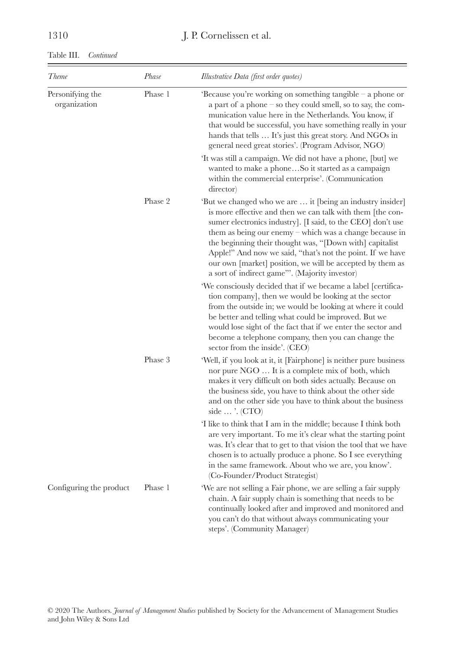## 1310 J. P. Cornelissen et al.

| Theme                            | Phase   | Illustrative Data (first order quotes)                                                                                                                                                                                                                                                                                                                                                                                                                                                      |
|----------------------------------|---------|---------------------------------------------------------------------------------------------------------------------------------------------------------------------------------------------------------------------------------------------------------------------------------------------------------------------------------------------------------------------------------------------------------------------------------------------------------------------------------------------|
| Personifying the<br>organization | Phase 1 | 'Because you're working on something tangible $-$ a phone or<br>a part of a phone - so they could smell, so to say, the com-<br>munication value here in the Netherlands. You know, if<br>that would be successful, you have something really in your<br>hands that tells  It's just this great story. And NGOs in<br>general need great stories'. (Program Advisor, NGO)                                                                                                                   |
|                                  |         | It was still a campaign. We did not have a phone, [but] we<br>wanted to make a phoneSo it started as a campaign<br>within the commercial enterprise'. (Communication<br>director)                                                                                                                                                                                                                                                                                                           |
|                                  | Phase 2 | 'But we changed who we are  it [being an industry insider]<br>is more effective and then we can talk with them [the con-<br>sumer electronics industry]. [I said, to the CEO] don't use<br>them as being our enemy - which was a change because in<br>the beginning their thought was, "[Down with] capitalist<br>Apple!" And now we said, "that's not the point. If we have<br>our own [market] position, we will be accepted by them as<br>a sort of indirect game"". (Majority investor) |
|                                  |         | 'We consciously decided that if we became a label [certifica-<br>tion company], then we would be looking at the sector<br>from the outside in; we would be looking at where it could<br>be better and telling what could be improved. But we<br>would lose sight of the fact that if we enter the sector and<br>become a telephone company, then you can change the<br>sector from the inside'. (CEO)                                                                                       |
|                                  | Phase 3 | 'Well, if you look at it, it [Fairphone] is neither pure business<br>nor pure NGO  It is a complete mix of both, which<br>makes it very difficult on both sides actually. Because on<br>the business side, you have to think about the other side<br>and on the other side you have to think about the business<br>side $\dots$ $\therefore$ (CTO)                                                                                                                                          |
|                                  |         | I like to think that I am in the middle; because I think both<br>are very important. To me it's clear what the starting point<br>was. It's clear that to get to that vision the tool that we have<br>chosen is to actually produce a phone. So I see everything<br>in the same framework. About who we are, you know'.<br>(Co-Founder/Product Strategist)                                                                                                                                   |
| Configuring the product          | Phase 1 | 'We are not selling a Fair phone, we are selling a fair supply<br>chain. A fair supply chain is something that needs to be<br>continually looked after and improved and monitored and<br>you can't do that without always communicating your<br>steps'. (Community Manager)                                                                                                                                                                                                                 |

Table III. *Continued*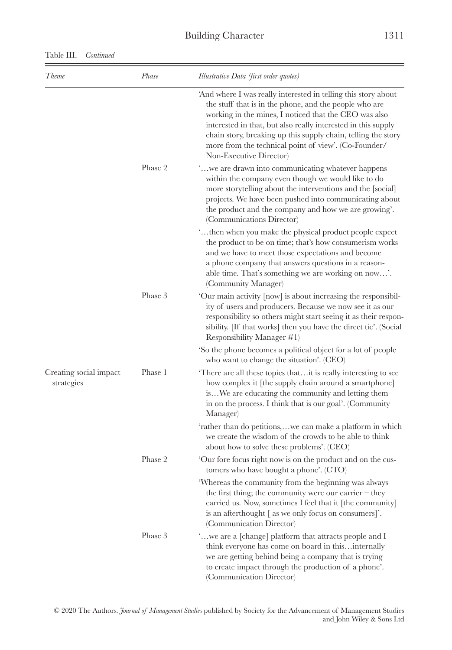| Theme                                | Phase   | Illustrative Data (first order quotes)                                                                                                                                                                                                                                                                                                                                                                 |
|--------------------------------------|---------|--------------------------------------------------------------------------------------------------------------------------------------------------------------------------------------------------------------------------------------------------------------------------------------------------------------------------------------------------------------------------------------------------------|
|                                      |         | 'And where I was really interested in telling this story about<br>the stuff that is in the phone, and the people who are<br>working in the mines, I noticed that the CEO was also<br>interested in that, but also really interested in this supply<br>chain story, breaking up this supply chain, telling the story<br>more from the technical point of view'. (Co-Founder/<br>Non-Executive Director) |
|                                      | Phase 2 | we are drawn into communicating whatever happens<br>within the company even though we would like to do<br>more storytelling about the interventions and the [social]<br>projects. We have been pushed into communicating about<br>the product and the company and how we are growing'.<br>(Communications Director)                                                                                    |
|                                      |         | then when you make the physical product people expect<br>the product to be on time; that's how consumerism works<br>and we have to meet those expectations and become<br>a phone company that answers questions in a reason-<br>able time. That's something we are working on now'.<br>(Community Manager)                                                                                             |
|                                      | Phase 3 | 'Our main activity [now] is about increasing the responsibil-<br>ity of users and producers. Because we now see it as our<br>responsibility so others might start seeing it as their respon-<br>sibility. [If that works] then you have the direct tie'. (Social<br>Responsibility Manager #1)                                                                                                         |
|                                      |         | So the phone becomes a political object for a lot of people<br>who want to change the situation'. (CEO)                                                                                                                                                                                                                                                                                                |
| Creating social impact<br>strategies | Phase 1 | There are all these topics thatit is really interesting to see<br>how complex it [the supply chain around a smartphone]<br>isWe are educating the community and letting them<br>in on the process. I think that is our goal'. (Community<br>Manager)                                                                                                                                                   |
|                                      |         | 'rather than do petitions,we can make a platform in which<br>we create the wisdom of the crowds to be able to think<br>about how to solve these problems'. (CEO)                                                                                                                                                                                                                                       |
|                                      | Phase 2 | Our fore focus right now is on the product and on the cus-<br>tomers who have bought a phone'. (CTO)                                                                                                                                                                                                                                                                                                   |
|                                      |         | 'Whereas the community from the beginning was always<br>the first thing; the community were our carrier $-$ they<br>carried us. Now, sometimes I feel that it [the community]<br>is an afterthought [ as we only focus on consumers]'.<br>(Communication Director)                                                                                                                                     |
|                                      | Phase 3 | 'we are a [change] platform that attracts people and I<br>think everyone has come on board in thisinternally<br>we are getting behind being a company that is trying<br>to create impact through the production of a phone'.<br>(Communication Director)                                                                                                                                               |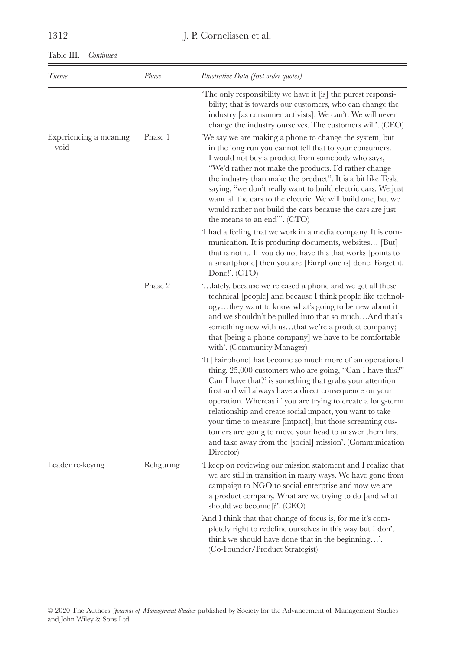## 1312 J. P. Cornelissen et al.

| Theme                          | Phase      | Illustrative Data (first order quotes)                                                                                                                                                                                                                                                                                                                                                                                                                                                                                                                                |
|--------------------------------|------------|-----------------------------------------------------------------------------------------------------------------------------------------------------------------------------------------------------------------------------------------------------------------------------------------------------------------------------------------------------------------------------------------------------------------------------------------------------------------------------------------------------------------------------------------------------------------------|
|                                |            | 'The only responsibility we have it [is] the purest responsi-<br>bility; that is towards our customers, who can change the<br>industry [as consumer activists]. We can't. We will never<br>change the industry ourselves. The customers will'. (CEO)                                                                                                                                                                                                                                                                                                                  |
| Experiencing a meaning<br>void | Phase 1    | 'We say we are making a phone to change the system, but<br>in the long run you cannot tell that to your consumers.<br>I would not buy a product from somebody who says,<br>"We'd rather not make the products. I'd rather change<br>the industry than make the product". It is a bit like Tesla<br>saying, "we don't really want to build electric cars. We just<br>want all the cars to the electric. We will build one, but we<br>would rather not build the cars because the cars are just<br>the means to an end"". (CTO)                                         |
|                                |            | 'I had a feeling that we work in a media company. It is com-<br>munication. It is producing documents, websites [But]<br>that is not it. If you do not have this that works [points to<br>a smartphone] then you are [Fairphone is] done. Forget it.<br>Done!'. (CTO)                                                                                                                                                                                                                                                                                                 |
|                                | Phase 2    | ' lately, because we released a phone and we get all these<br>technical [people] and because I think people like technol-<br>ogythey want to know what's going to be new about it<br>and we shouldn't be pulled into that so muchAnd that's<br>something new with usthat we're a product company;<br>that [being a phone company] we have to be comfortable<br>with'. (Community Manager)                                                                                                                                                                             |
|                                |            | 'It [Fairphone] has become so much more of an operational<br>thing. 25,000 customers who are going, "Can I have this?"<br>Can I have that?' is something that grabs your attention<br>first and will always have a direct consequence on your<br>operation. Whereas if you are trying to create a long-term<br>relationship and create social impact, you want to take<br>your time to measure [impact], but those screaming cus-<br>tomers are going to move your head to answer them first<br>and take away from the [social] mission'. (Communication<br>Director) |
| Leader re-keying               | Refiguring | 'I keep on reviewing our mission statement and I realize that<br>we are still in transition in many ways. We have gone from<br>campaign to NGO to social enterprise and now we are<br>a product company. What are we trying to do [and what<br>should we become]?'. (CEO)                                                                                                                                                                                                                                                                                             |
|                                |            | 'And I think that that change of focus is, for me it's com-<br>pletely right to redefine ourselves in this way but I don't<br>think we should have done that in the beginning'.<br>(Co-Founder/Product Strategist)                                                                                                                                                                                                                                                                                                                                                    |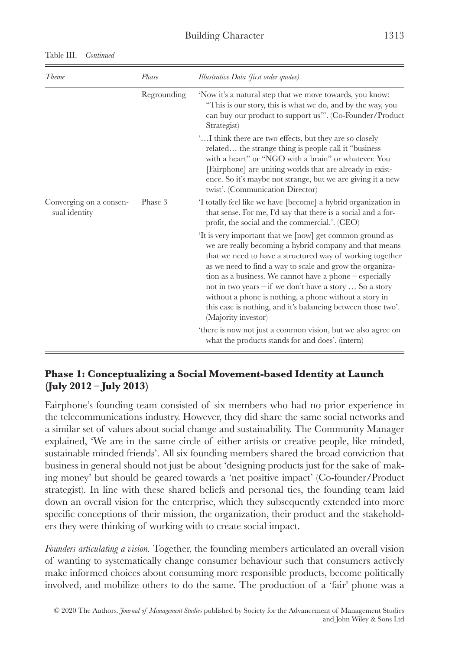| Theme                                    | Phase       | Illustrative Data (first order quotes)                                                                                                                                                                                                                                                                                                                                                                                                                                                                                    |
|------------------------------------------|-------------|---------------------------------------------------------------------------------------------------------------------------------------------------------------------------------------------------------------------------------------------------------------------------------------------------------------------------------------------------------------------------------------------------------------------------------------------------------------------------------------------------------------------------|
|                                          | Regrounding | 'Now it's a natural step that we move towards, you know:<br>"This is our story, this is what we do, and by the way, you<br>can buy our product to support us"". (Co-Founder/Product<br>Strategist)                                                                                                                                                                                                                                                                                                                        |
|                                          |             | 'I think there are two effects, but they are so closely<br>related the strange thing is people call it "business<br>with a heart" or "NGO with a brain" or whatever. You<br>[Fairphone] are uniting worlds that are already in exist-<br>ence. So it's maybe not strange, but we are giving it a new<br>twist'. (Communication Director)                                                                                                                                                                                  |
| Converging on a consen-<br>sual identity | Phase 3     | 'I totally feel like we have [become] a hybrid organization in<br>that sense. For me, I'd say that there is a social and a for-<br>profit, the social and the commercial.'. (CEO)                                                                                                                                                                                                                                                                                                                                         |
|                                          |             | It is very important that we [now] get common ground as<br>we are really becoming a hybrid company and that means<br>that we need to have a structured way of working together<br>as we need to find a way to scale and grow the organiza-<br>tion as a business. We cannot have a phone - especially<br>not in two years – if we don't have a story $\ldots$ So a story<br>without a phone is nothing, a phone without a story in<br>this case is nothing, and it's balancing between those two'.<br>(Majority investor) |
|                                          |             | 'there is now not just a common vision, but we also agree on<br>what the products stands for and does'. (intern)                                                                                                                                                                                                                                                                                                                                                                                                          |

#### Table III. *Continued*

## **Phase 1: Conceptualizing a Social Movement-based Identity at Launch (July 2012 – July 2013)**

Fairphone's founding team consisted of six members who had no prior experience in the telecommunications industry. However, they did share the same social networks and a similar set of values about social change and sustainability. The Community Manager explained, 'We are in the same circle of either artists or creative people, like minded, sustainable minded friends'. All six founding members shared the broad conviction that business in general should not just be about 'designing products just for the sake of making money' but should be geared towards a 'net positive impact' (Co-founder/Product strategist). In line with these shared beliefs and personal ties, the founding team laid down an overall vision for the enterprise, which they subsequently extended into more specific conceptions of their mission, the organization, their product and the stakeholders they were thinking of working with to create social impact.

*Founders articulating a vision.* Together, the founding members articulated an overall vision of wanting to systematically change consumer behaviour such that consumers actively make informed choices about consuming more responsible products, become politically involved, and mobilize others to do the same. The production of a 'fair' phone was a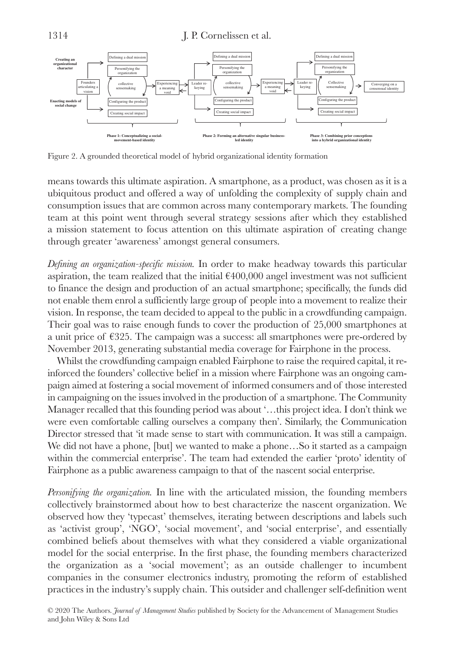

Figure 2. A grounded theoretical model of hybrid organizational identity formation

means towards this ultimate aspiration. A smartphone, as a product, was chosen as it is a ubiquitous product and offered a way of unfolding the complexity of supply chain and consumption issues that are common across many contemporary markets. The founding team at this point went through several strategy sessions after which they established a mission statement to focus attention on this ultimate aspiration of creating change through greater 'awareness' amongst general consumers.

*Defining an organization-specific mission.* In order to make headway towards this particular aspiration, the team realized that the initial  $\epsilon$ 400,000 angel investment was not sufficient to finance the design and production of an actual smartphone; specifically, the funds did not enable them enrol a sufficiently large group of people into a movement to realize their vision. In response, the team decided to appeal to the public in a crowdfunding campaign. Their goal was to raise enough funds to cover the production of 25,000 smartphones at a unit price of  $\epsilon$ 325. The campaign was a success: all smartphones were pre-ordered by November 2013, generating substantial media coverage for Fairphone in the process.

Whilst the crowdfunding campaign enabled Fairphone to raise the required capital, it reinforced the founders' collective belief in a mission where Fairphone was an ongoing campaign aimed at fostering a social movement of informed consumers and of those interested in campaigning on the issues involved in the production of a smartphone. The Community Manager recalled that this founding period was about '…this project idea. I don't think we were even comfortable calling ourselves a company then'. Similarly, the Communication Director stressed that 'it made sense to start with communication. It was still a campaign. We did not have a phone, [but] we wanted to make a phone...So it started as a campaign within the commercial enterprise'. The team had extended the earlier 'proto' identity of Fairphone as a public awareness campaign to that of the nascent social enterprise.

*Personifying the organization.* In line with the articulated mission, the founding members collectively brainstormed about how to best characterize the nascent organization. We observed how they 'typecast' themselves, iterating between descriptions and labels such as 'activist group', 'NGO', 'social movement', and 'social enterprise', and essentially combined beliefs about themselves with what they considered a viable organizational model for the social enterprise. In the first phase, the founding members characterized the organization as a 'social movement'; as an outside challenger to incumbent companies in the consumer electronics industry, promoting the reform of established practices in the industry's supply chain. This outsider and challenger self-definition went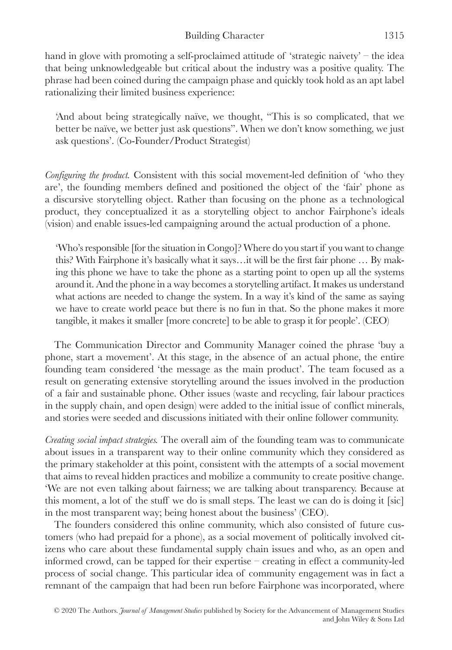hand in glove with promoting a self-proclaimed attitude of 'strategic naivety' – the idea that being unknowledgeable but critical about the industry was a positive quality. The phrase had been coined during the campaign phase and quickly took hold as an apt label rationalizing their limited business experience:

'And about being strategically naïve, we thought, "This is so complicated, that we better be naïve, we better just ask questions". When we don't know something, we just ask questions'. (Co-Founder/Product Strategist)

*Configuring the product.* Consistent with this social movement-led definition of 'who they are', the founding members defined and positioned the object of the 'fair' phone as a discursive storytelling object. Rather than focusing on the phone as a technological product, they conceptualized it as a storytelling object to anchor Fairphone's ideals (vision) and enable issues-led campaigning around the actual production of a phone.

'Who's responsible [for the situation in Congo]? Where do you start if you want to change this? With Fairphone it's basically what it says…it will be the first fair phone … By making this phone we have to take the phone as a starting point to open up all the systems around it. And the phone in a way becomes a storytelling artifact. It makes us understand what actions are needed to change the system. In a way it's kind of the same as saying we have to create world peace but there is no fun in that. So the phone makes it more tangible, it makes it smaller [more concrete] to be able to grasp it for people'. (CEO)

The Communication Director and Community Manager coined the phrase 'buy a phone, start a movement'. At this stage, in the absence of an actual phone, the entire founding team considered 'the message as the main product'. The team focused as a result on generating extensive storytelling around the issues involved in the production of a fair and sustainable phone. Other issues (waste and recycling, fair labour practices in the supply chain, and open design) were added to the initial issue of conflict minerals, and stories were seeded and discussions initiated with their online follower community.

*Creating social impact strategies.* The overall aim of the founding team was to communicate about issues in a transparent way to their online community which they considered as the primary stakeholder at this point, consistent with the attempts of a social movement that aims to reveal hidden practices and mobilize a community to create positive change. 'We are not even talking about fairness; we are talking about transparency. Because at this moment, a lot of the stuff we do is small steps. The least we can do is doing it [sic] in the most transparent way; being honest about the business' (CEO).

The founders considered this online community, which also consisted of future customers (who had prepaid for a phone), as a social movement of politically involved citizens who care about these fundamental supply chain issues and who, as an open and informed crowd, can be tapped for their expertise – creating in effect a community-led process of social change. This particular idea of community engagement was in fact a remnant of the campaign that had been run before Fairphone was incorporated, where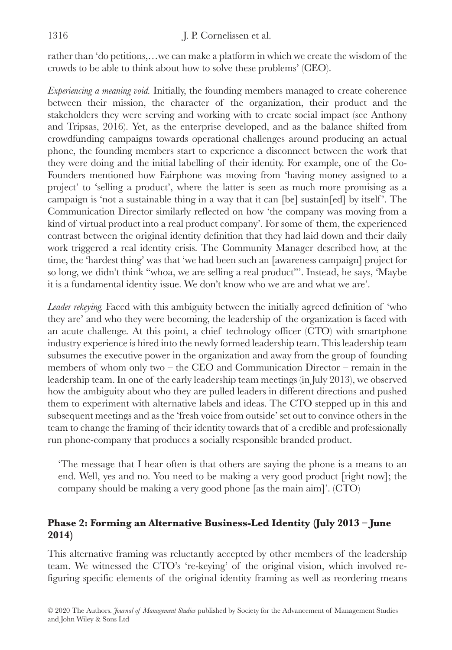rather than 'do petitions,…we can make a platform in which we create the wisdom of the crowds to be able to think about how to solve these problems' (CEO).

*Experiencing a meaning void.* Initially, the founding members managed to create coherence between their mission, the character of the organization, their product and the stakeholders they were serving and working with to create social impact (see Anthony and Tripsas, 2016). Yet, as the enterprise developed, and as the balance shifted from crowdfunding campaigns towards operational challenges around producing an actual phone, the founding members start to experience a disconnect between the work that they were doing and the initial labelling of their identity. For example, one of the Co-Founders mentioned how Fairphone was moving from 'having money assigned to a project' to 'selling a product', where the latter is seen as much more promising as a campaign is 'not a sustainable thing in a way that it can [be] sustain[ed] by itself '. The Communication Director similarly reflected on how 'the company was moving from a kind of virtual product into a real product company'. For some of them, the experienced contrast between the original identity definition that they had laid down and their daily work triggered a real identity crisis. The Community Manager described how, at the time, the 'hardest thing' was that 'we had been such an [awareness campaign] project for so long, we didn't think "whoa, we are selling a real product"'. Instead, he says, 'Maybe it is a fundamental identity issue. We don't know who we are and what we are'.

*Leader rekeying.* Faced with this ambiguity between the initially agreed definition of 'who they are' and who they were becoming, the leadership of the organization is faced with an acute challenge. At this point, a chief technology officer (CTO) with smartphone industry experience is hired into the newly formed leadership team. This leadership team subsumes the executive power in the organization and away from the group of founding members of whom only two – the CEO and Communication Director – remain in the leadership team. In one of the early leadership team meetings (in July 2013), we observed how the ambiguity about who they are pulled leaders in different directions and pushed them to experiment with alternative labels and ideas. The CTO stepped up in this and subsequent meetings and as the 'fresh voice from outside' set out to convince others in the team to change the framing of their identity towards that of a credible and professionally run phone-company that produces a socially responsible branded product.

'The message that I hear often is that others are saying the phone is a means to an end. Well, yes and no. You need to be making a very good product [right now]; the company should be making a very good phone [as the main aim]'. (CTO)

## **Phase 2: Forming an Alternative Business-Led Identity (July 2013 – June 2014)**

This alternative framing was reluctantly accepted by other members of the leadership team. We witnessed the CTO's 're-keying' of the original vision, which involved refiguring specific elements of the original identity framing as well as reordering means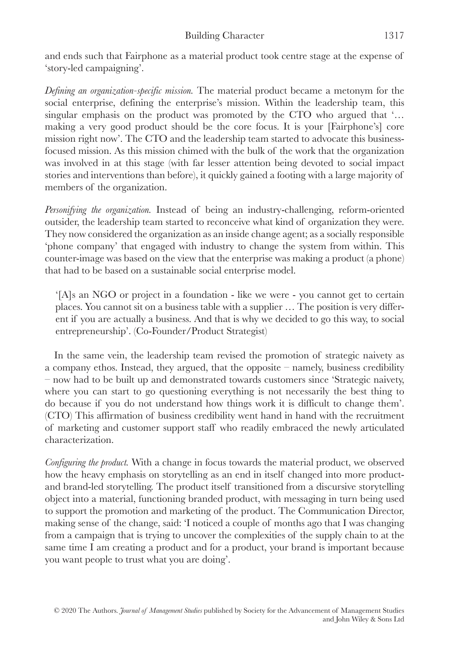and ends such that Fairphone as a material product took centre stage at the expense of 'story-led campaigning'.

*Defining an organization-specific mission.* The material product became a metonym for the social enterprise, defining the enterprise's mission. Within the leadership team, this singular emphasis on the product was promoted by the CTO who argued that '… making a very good product should be the core focus. It is your [Fairphone's] core mission right now'. The CTO and the leadership team started to advocate this businessfocused mission. As this mission chimed with the bulk of the work that the organization was involved in at this stage (with far lesser attention being devoted to social impact stories and interventions than before), it quickly gained a footing with a large majority of members of the organization.

*Personifying the organization.* Instead of being an industry-challenging, reform-oriented outsider, the leadership team started to reconceive what kind of organization they were. They now considered the organization as an inside change agent; as a socially responsible 'phone company' that engaged with industry to change the system from within. This counter-image was based on the view that the enterprise was making a product (a phone) that had to be based on a sustainable social enterprise model.

'[A]s an NGO or project in a foundation - like we were - you cannot get to certain places. You cannot sit on a business table with a supplier … The position is very different if you are actually a business. And that is why we decided to go this way, to social entrepreneurship'. (Co-Founder/Product Strategist)

In the same vein, the leadership team revised the promotion of strategic naivety as a company ethos. Instead, they argued, that the opposite – namely, business credibility – now had to be built up and demonstrated towards customers since 'Strategic naivety, where you can start to go questioning everything is not necessarily the best thing to do because if you do not understand how things work it is difficult to change them'. (CTO) This affirmation of business credibility went hand in hand with the recruitment of marketing and customer support staff who readily embraced the newly articulated characterization.

*Configuring the product.* With a change in focus towards the material product, we observed how the heavy emphasis on storytelling as an end in itself changed into more productand brand-led storytelling. The product itself transitioned from a discursive storytelling object into a material, functioning branded product, with messaging in turn being used to support the promotion and marketing of the product. The Communication Director, making sense of the change, said: 'I noticed a couple of months ago that I was changing from a campaign that is trying to uncover the complexities of the supply chain to at the same time I am creating a product and for a product, your brand is important because you want people to trust what you are doing'.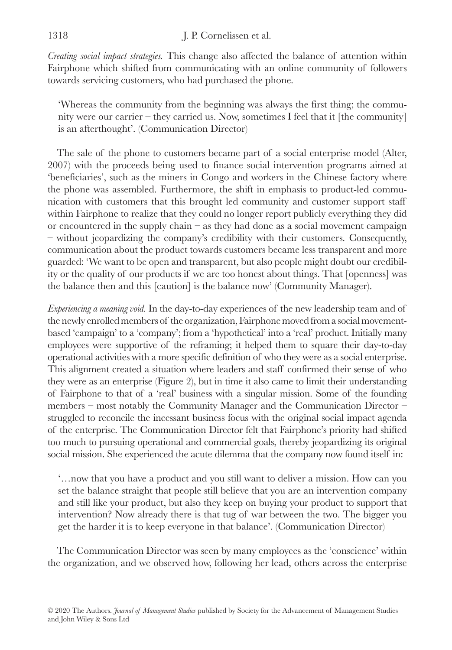*Creating social impact strategies.* This change also affected the balance of attention within Fairphone which shifted from communicating with an online community of followers towards servicing customers, who had purchased the phone.

'Whereas the community from the beginning was always the first thing; the community were our carrier – they carried us. Now, sometimes I feel that it [the community] is an afterthought'. (Communication Director)

The sale of the phone to customers became part of a social enterprise model (Alter, 2007) with the proceeds being used to finance social intervention programs aimed at 'beneficiaries', such as the miners in Congo and workers in the Chinese factory where the phone was assembled. Furthermore, the shift in emphasis to product-led communication with customers that this brought led community and customer support staff within Fairphone to realize that they could no longer report publicly everything they did or encountered in the supply chain  $-$  as they had done as a social movement campaign – without jeopardizing the company's credibility with their customers. Consequently, communication about the product towards customers became less transparent and more guarded: 'We want to be open and transparent, but also people might doubt our credibility or the quality of our products if we are too honest about things. That [openness] was the balance then and this [caution] is the balance now' (Community Manager).

*Experiencing a meaning void.* In the day-to-day experiences of the new leadership team and of the newly enrolled members of the organization, Fairphone moved from a social movementbased 'campaign' to a 'company'; from a 'hypothetical' into a 'real' product. Initially many employees were supportive of the reframing; it helped them to square their day-to-day operational activities with a more specific definition of who they were as a social enterprise. This alignment created a situation where leaders and staff confirmed their sense of who they were as an enterprise (Figure 2), but in time it also came to limit their understanding of Fairphone to that of a 'real' business with a singular mission. Some of the founding members – most notably the Community Manager and the Communication Director – struggled to reconcile the incessant business focus with the original social impact agenda of the enterprise. The Communication Director felt that Fairphone's priority had shifted too much to pursuing operational and commercial goals, thereby jeopardizing its original social mission. She experienced the acute dilemma that the company now found itself in:

'…now that you have a product and you still want to deliver a mission. How can you set the balance straight that people still believe that you are an intervention company and still like your product, but also they keep on buying your product to support that intervention? Now already there is that tug of war between the two. The bigger you get the harder it is to keep everyone in that balance'. (Communication Director)

The Communication Director was seen by many employees as the 'conscience' within the organization, and we observed how, following her lead, others across the enterprise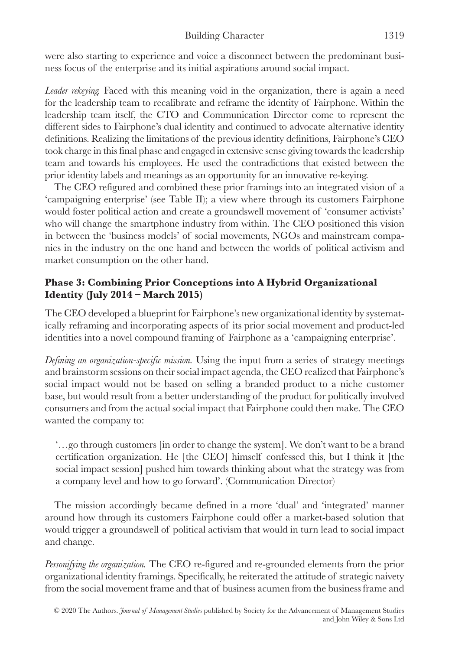were also starting to experience and voice a disconnect between the predominant business focus of the enterprise and its initial aspirations around social impact.

*Leader rekeying.* Faced with this meaning void in the organization, there is again a need for the leadership team to recalibrate and reframe the identity of Fairphone. Within the leadership team itself, the CTO and Communication Director come to represent the different sides to Fairphone's dual identity and continued to advocate alternative identity definitions. Realizing the limitations of the previous identity definitions, Fairphone's CEO took charge in this final phase and engaged in extensive sense giving towards the leadership team and towards his employees. He used the contradictions that existed between the prior identity labels and meanings as an opportunity for an innovative re-keying.

The CEO refigured and combined these prior framings into an integrated vision of a 'campaigning enterprise' (see Table II); a view where through its customers Fairphone would foster political action and create a groundswell movement of 'consumer activists' who will change the smartphone industry from within. The CEO positioned this vision in between the 'business models' of social movements, NGOs and mainstream companies in the industry on the one hand and between the worlds of political activism and market consumption on the other hand.

## **Phase 3: Combining Prior Conceptions into A Hybrid Organizational Identity (July 2014 – March 2015)**

The CEO developed a blueprint for Fairphone's new organizational identity by systematically reframing and incorporating aspects of its prior social movement and product-led identities into a novel compound framing of Fairphone as a 'campaigning enterprise'.

*Defining an organization-specific mission.* Using the input from a series of strategy meetings and brainstorm sessions on their social impact agenda, the CEO realized that Fairphone's social impact would not be based on selling a branded product to a niche customer base, but would result from a better understanding of the product for politically involved consumers and from the actual social impact that Fairphone could then make. The CEO wanted the company to:

'…go through customers [in order to change the system]. We don't want to be a brand certification organization. He [the CEO] himself confessed this, but I think it [the social impact session] pushed him towards thinking about what the strategy was from a company level and how to go forward'. (Communication Director)

The mission accordingly became defined in a more 'dual' and 'integrated' manner around how through its customers Fairphone could offer a market-based solution that would trigger a groundswell of political activism that would in turn lead to social impact and change.

*Personifying the organization.* The CEO re-figured and re-grounded elements from the prior organizational identity framings. Specifically, he reiterated the attitude of strategic naivety from the social movement frame and that of business acumen from the business frame and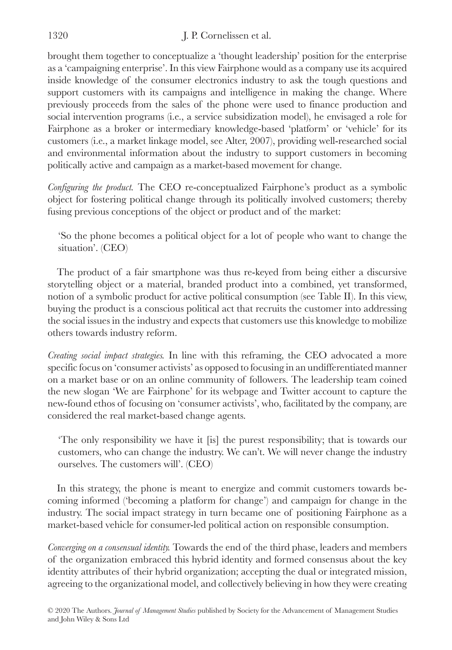brought them together to conceptualize a 'thought leadership' position for the enterprise as a 'campaigning enterprise'. In this view Fairphone would as a company use its acquired inside knowledge of the consumer electronics industry to ask the tough questions and support customers with its campaigns and intelligence in making the change. Where previously proceeds from the sales of the phone were used to finance production and social intervention programs (i.e., a service subsidization model), he envisaged a role for Fairphone as a broker or intermediary knowledge-based 'platform' or 'vehicle' for its customers (i.e., a market linkage model, see Alter, 2007), providing well-researched social and environmental information about the industry to support customers in becoming politically active and campaign as a market-based movement for change.

*Configuring the product.* The CEO re-conceptualized Fairphone's product as a symbolic object for fostering political change through its politically involved customers; thereby fusing previous conceptions of the object or product and of the market:

'So the phone becomes a political object for a lot of people who want to change the situation'. (CEO)

The product of a fair smartphone was thus re-keyed from being either a discursive storytelling object or a material, branded product into a combined, yet transformed, notion of a symbolic product for active political consumption (see Table II). In this view, buying the product is a conscious political act that recruits the customer into addressing the social issues in the industry and expects that customers use this knowledge to mobilize others towards industry reform.

*Creating social impact strategies.* In line with this reframing, the CEO advocated a more specific focus on 'consumer activists' as opposed to focusing in an undifferentiated manner on a market base or on an online community of followers. The leadership team coined the new slogan 'We are Fairphone' for its webpage and Twitter account to capture the new-found ethos of focusing on 'consumer activists', who, facilitated by the company, are considered the real market-based change agents.

'The only responsibility we have it [is] the purest responsibility; that is towards our customers, who can change the industry. We can't. We will never change the industry ourselves. The customers will'. (CEO)

In this strategy, the phone is meant to energize and commit customers towards becoming informed ('becoming a platform for change') and campaign for change in the industry. The social impact strategy in turn became one of positioning Fairphone as a market-based vehicle for consumer-led political action on responsible consumption.

*Converging on a consensual identity.* Towards the end of the third phase, leaders and members of the organization embraced this hybrid identity and formed consensus about the key identity attributes of their hybrid organization; accepting the dual or integrated mission, agreeing to the organizational model, and collectively believing in how they were creating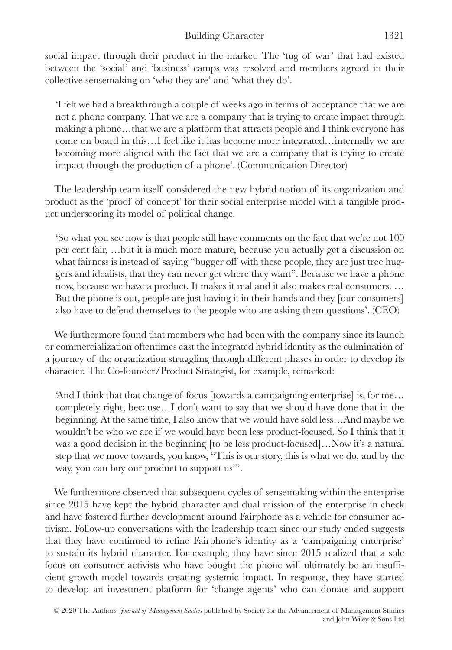social impact through their product in the market. The 'tug of war' that had existed between the 'social' and 'business' camps was resolved and members agreed in their collective sensemaking on 'who they are' and 'what they do'.

'I felt we had a breakthrough a couple of weeks ago in terms of acceptance that we are not a phone company. That we are a company that is trying to create impact through making a phone…that we are a platform that attracts people and I think everyone has come on board in this…I feel like it has become more integrated…internally we are becoming more aligned with the fact that we are a company that is trying to create impact through the production of a phone'. (Communication Director)

The leadership team itself considered the new hybrid notion of its organization and product as the 'proof of concept' for their social enterprise model with a tangible product underscoring its model of political change.

'So what you see now is that people still have comments on the fact that we're not 100 per cent fair, …but it is much more mature, because you actually get a discussion on what fairness is instead of saying "bugger off with these people, they are just tree huggers and idealists, that they can never get where they want". Because we have a phone now, because we have a product. It makes it real and it also makes real consumers. … But the phone is out, people are just having it in their hands and they [our consumers] also have to defend themselves to the people who are asking them questions'. (CEO)

We furthermore found that members who had been with the company since its launch or commercialization oftentimes cast the integrated hybrid identity as the culmination of a journey of the organization struggling through different phases in order to develop its character. The Co-founder/Product Strategist, for example, remarked:

'And I think that that change of focus [towards a campaigning enterprise] is, for me… completely right, because…I don't want to say that we should have done that in the beginning. At the same time, I also know that we would have sold less…And maybe we wouldn't be who we are if we would have been less product-focused. So I think that it was a good decision in the beginning [to be less product-focused]…Now it's a natural step that we move towards, you know, "This is our story, this is what we do, and by the way, you can buy our product to support us"'.

We furthermore observed that subsequent cycles of sensemaking within the enterprise since 2015 have kept the hybrid character and dual mission of the enterprise in check and have fostered further development around Fairphone as a vehicle for consumer activism. Follow-up conversations with the leadership team since our study ended suggests that they have continued to refine Fairphone's identity as a 'campaigning enterprise' to sustain its hybrid character. For example, they have since 2015 realized that a sole focus on consumer activists who have bought the phone will ultimately be an insufficient growth model towards creating systemic impact. In response, they have started to develop an investment platform for 'change agents' who can donate and support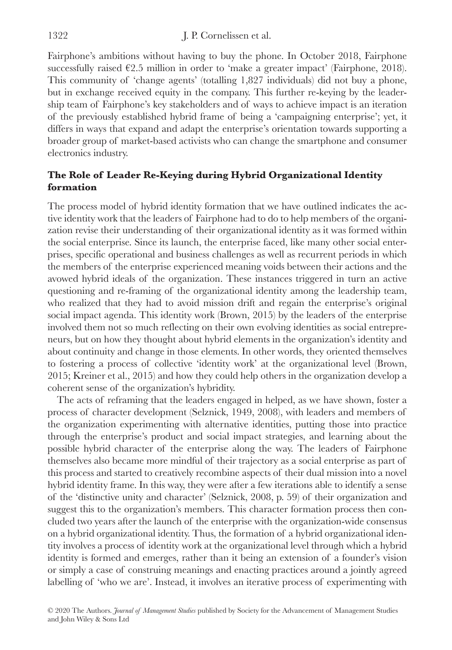Fairphone's ambitions without having to buy the phone. In October 2018, Fairphone successfully raised  $\epsilon$ 2.5 million in order to 'make a greater impact' (Fairphone, 2018). This community of 'change agents' (totalling 1,827 individuals) did not buy a phone, but in exchange received equity in the company. This further re-keying by the leadership team of Fairphone's key stakeholders and of ways to achieve impact is an iteration of the previously established hybrid frame of being a 'campaigning enterprise'; yet, it differs in ways that expand and adapt the enterprise's orientation towards supporting a broader group of market-based activists who can change the smartphone and consumer electronics industry.

## **The Role of Leader Re-Keying during Hybrid Organizational Identity formation**

The process model of hybrid identity formation that we have outlined indicates the active identity work that the leaders of Fairphone had to do to help members of the organization revise their understanding of their organizational identity as it was formed within the social enterprise. Since its launch, the enterprise faced, like many other social enterprises, specific operational and business challenges as well as recurrent periods in which the members of the enterprise experienced meaning voids between their actions and the avowed hybrid ideals of the organization. These instances triggered in turn an active questioning and re-framing of the organizational identity among the leadership team, who realized that they had to avoid mission drift and regain the enterprise's original social impact agenda. This identity work (Brown, 2015) by the leaders of the enterprise involved them not so much reflecting on their own evolving identities as social entrepreneurs, but on how they thought about hybrid elements in the organization's identity and about continuity and change in those elements. In other words, they oriented themselves to fostering a process of collective 'identity work' at the organizational level (Brown, 2015; Kreiner et al., 2015) and how they could help others in the organization develop a coherent sense of the organization's hybridity.

The acts of reframing that the leaders engaged in helped, as we have shown, foster a process of character development (Selznick, 1949, 2008), with leaders and members of the organization experimenting with alternative identities, putting those into practice through the enterprise's product and social impact strategies, and learning about the possible hybrid character of the enterprise along the way. The leaders of Fairphone themselves also became more mindful of their trajectory as a social enterprise as part of this process and started to creatively recombine aspects of their dual mission into a novel hybrid identity frame. In this way, they were after a few iterations able to identify a sense of the 'distinctive unity and character' (Selznick, 2008, p. 59) of their organization and suggest this to the organization's members. This character formation process then concluded two years after the launch of the enterprise with the organization-wide consensus on a hybrid organizational identity. Thus, the formation of a hybrid organizational identity involves a process of identity work at the organizational level through which a hybrid identity is formed and emerges, rather than it being an extension of a founder's vision or simply a case of construing meanings and enacting practices around a jointly agreed labelling of 'who we are'. Instead, it involves an iterative process of experimenting with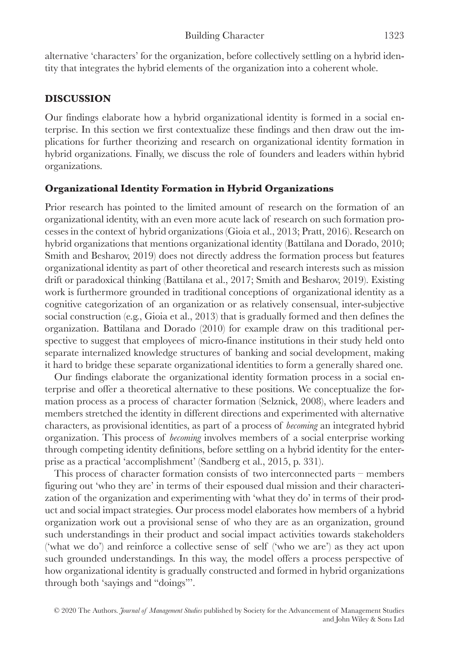alternative 'characters' for the organization, before collectively settling on a hybrid identity that integrates the hybrid elements of the organization into a coherent whole.

## **DISCUSSION**

Our findings elaborate how a hybrid organizational identity is formed in a social enterprise. In this section we first contextualize these findings and then draw out the implications for further theorizing and research on organizational identity formation in hybrid organizations. Finally, we discuss the role of founders and leaders within hybrid organizations.

## **Organizational Identity Formation in Hybrid Organizations**

Prior research has pointed to the limited amount of research on the formation of an organizational identity, with an even more acute lack of research on such formation processes in the context of hybrid organizations (Gioia et al., 2013; Pratt, 2016). Research on hybrid organizations that mentions organizational identity (Battilana and Dorado, 2010; Smith and Besharov, 2019) does not directly address the formation process but features organizational identity as part of other theoretical and research interests such as mission drift or paradoxical thinking (Battilana et al., 2017; Smith and Besharov, 2019). Existing work is furthermore grounded in traditional conceptions of organizational identity as a cognitive categorization of an organization or as relatively consensual, inter-subjective social construction (e.g., Gioia et al., 2013) that is gradually formed and then defines the organization. Battilana and Dorado (2010) for example draw on this traditional perspective to suggest that employees of micro-finance institutions in their study held onto separate internalized knowledge structures of banking and social development, making it hard to bridge these separate organizational identities to form a generally shared one.

Our findings elaborate the organizational identity formation process in a social enterprise and offer a theoretical alternative to these positions. We conceptualize the formation process as a process of character formation (Selznick, 2008), where leaders and members stretched the identity in different directions and experimented with alternative characters, as provisional identities, as part of a process of *becoming* an integrated hybrid organization. This process of *becoming* involves members of a social enterprise working through competing identity definitions, before settling on a hybrid identity for the enterprise as a practical 'accomplishment' (Sandberg et al., 2015, p. 331).

This process of character formation consists of two interconnected parts – members figuring out 'who they are' in terms of their espoused dual mission and their characterization of the organization and experimenting with 'what they do' in terms of their product and social impact strategies. Our process model elaborates how members of a hybrid organization work out a provisional sense of who they are as an organization, ground such understandings in their product and social impact activities towards stakeholders ('what we do') and reinforce a collective sense of self ('who we are') as they act upon such grounded understandings. In this way, the model offers a process perspective of how organizational identity is gradually constructed and formed in hybrid organizations through both 'sayings and "doings"'.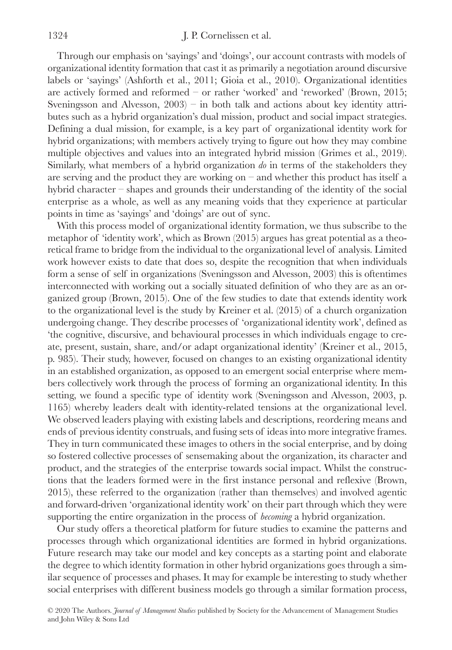Through our emphasis on 'sayings' and 'doings', our account contrasts with models of organizational identity formation that cast it as primarily a negotiation around discursive labels or 'sayings' (Ashforth et al., 2011; Gioia et al., 2010). Organizational identities are actively formed and reformed – or rather 'worked' and 'reworked' (Brown, 2015; Sveningsson and Alvesson, 2003) – in both talk and actions about key identity attributes such as a hybrid organization's dual mission, product and social impact strategies. Defining a dual mission, for example, is a key part of organizational identity work for hybrid organizations; with members actively trying to figure out how they may combine multiple objectives and values into an integrated hybrid mission (Grimes et al., 2019). Similarly, what members of a hybrid organization *do* in terms of the stakeholders they are serving and the product they are working on  $-$  and whether this product has itself a hybrid character – shapes and grounds their understanding of the identity of the social enterprise as a whole, as well as any meaning voids that they experience at particular points in time as 'sayings' and 'doings' are out of sync.

With this process model of organizational identity formation, we thus subscribe to the metaphor of 'identity work', which as Brown (2015) argues has great potential as a theoretical frame to bridge from the individual to the organizational level of analysis. Limited work however exists to date that does so, despite the recognition that when individuals form a sense of self in organizations (Sveningsson and Alvesson, 2003) this is oftentimes interconnected with working out a socially situated definition of who they are as an organized group (Brown, 2015). One of the few studies to date that extends identity work to the organizational level is the study by Kreiner et al. (2015) of a church organization undergoing change. They describe processes of 'organizational identity work', defined as 'the cognitive, discursive, and behavioural processes in which individuals engage to create, present, sustain, share, and/or adapt organizational identity' (Kreiner et al., 2015, p. 985). Their study, however, focused on changes to an existing organizational identity in an established organization, as opposed to an emergent social enterprise where members collectively work through the process of forming an organizational identity. In this setting, we found a specific type of identity work (Sveningsson and Alvesson, 2003, p. 1165) whereby leaders dealt with identity-related tensions at the organizational level. We observed leaders playing with existing labels and descriptions, reordering means and ends of previous identity construals, and fusing sets of ideas into more integrative frames. They in turn communicated these images to others in the social enterprise, and by doing so fostered collective processes of sensemaking about the organization, its character and product, and the strategies of the enterprise towards social impact. Whilst the constructions that the leaders formed were in the first instance personal and reflexive (Brown, 2015), these referred to the organization (rather than themselves) and involved agentic and forward-driven 'organizational identity work' on their part through which they were supporting the entire organization in the process of *becoming* a hybrid organization.

Our study offers a theoretical platform for future studies to examine the patterns and processes through which organizational identities are formed in hybrid organizations. Future research may take our model and key concepts as a starting point and elaborate the degree to which identity formation in other hybrid organizations goes through a similar sequence of processes and phases. It may for example be interesting to study whether social enterprises with different business models go through a similar formation process,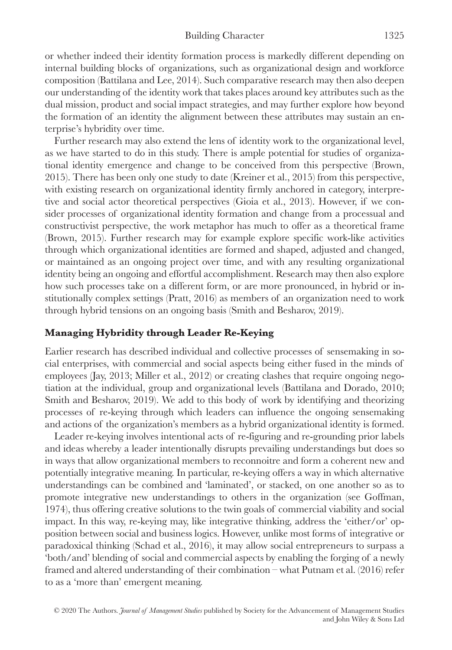or whether indeed their identity formation process is markedly different depending on internal building blocks of organizations, such as organizational design and workforce composition (Battilana and Lee, 2014). Such comparative research may then also deepen our understanding of the identity work that takes places around key attributes such as the dual mission, product and social impact strategies, and may further explore how beyond the formation of an identity the alignment between these attributes may sustain an enterprise's hybridity over time.

Further research may also extend the lens of identity work to the organizational level, as we have started to do in this study. There is ample potential for studies of organizational identity emergence and change to be conceived from this perspective (Brown, 2015). There has been only one study to date (Kreiner et al., 2015) from this perspective, with existing research on organizational identity firmly anchored in category, interpretive and social actor theoretical perspectives (Gioia et al., 2013). However, if we consider processes of organizational identity formation and change from a processual and constructivist perspective, the work metaphor has much to offer as a theoretical frame (Brown, 2015). Further research may for example explore specific work-like activities through which organizational identities are formed and shaped, adjusted and changed, or maintained as an ongoing project over time, and with any resulting organizational identity being an ongoing and effortful accomplishment. Research may then also explore how such processes take on a different form, or are more pronounced, in hybrid or institutionally complex settings (Pratt, 2016) as members of an organization need to work through hybrid tensions on an ongoing basis (Smith and Besharov, 2019).

## **Managing Hybridity through Leader Re-Keying**

Earlier research has described individual and collective processes of sensemaking in social enterprises, with commercial and social aspects being either fused in the minds of employees (Jay, 2013; Miller et al., 2012) or creating clashes that require ongoing negotiation at the individual, group and organizational levels (Battilana and Dorado, 2010; Smith and Besharov, 2019). We add to this body of work by identifying and theorizing processes of re-keying through which leaders can influence the ongoing sensemaking and actions of the organization's members as a hybrid organizational identity is formed.

Leader re-keying involves intentional acts of re-figuring and re-grounding prior labels and ideas whereby a leader intentionally disrupts prevailing understandings but does so in ways that allow organizational members to reconnoitre and form a coherent new and potentially integrative meaning. In particular, re-keying offers a way in which alternative understandings can be combined and 'laminated', or stacked, on one another so as to promote integrative new understandings to others in the organization (see Goffman, 1974), thus offering creative solutions to the twin goals of commercial viability and social impact. In this way, re-keying may, like integrative thinking, address the 'either/or' opposition between social and business logics. However, unlike most forms of integrative or paradoxical thinking (Schad et al., 2016), it may allow social entrepreneurs to surpass a 'both/and' blending of social and commercial aspects by enabling the forging of a newly framed and altered understanding of their combination – what Putnam et al. (2016) refer to as a 'more than' emergent meaning.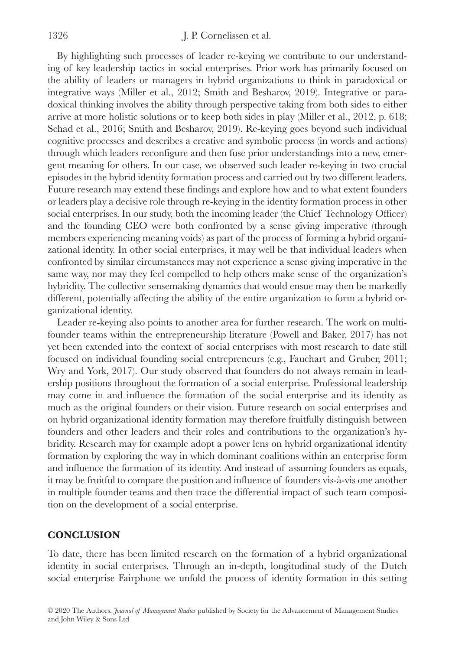By highlighting such processes of leader re-keying we contribute to our understanding of key leadership tactics in social enterprises. Prior work has primarily focused on the ability of leaders or managers in hybrid organizations to think in paradoxical or integrative ways (Miller et al., 2012; Smith and Besharov, 2019). Integrative or paradoxical thinking involves the ability through perspective taking from both sides to either arrive at more holistic solutions or to keep both sides in play (Miller et al., 2012, p. 618; Schad et al., 2016; Smith and Besharov, 2019). Re-keying goes beyond such individual cognitive processes and describes a creative and symbolic process (in words and actions) through which leaders reconfigure and then fuse prior understandings into a new, emergent meaning for others. In our case, we observed such leader re-keying in two crucial episodes in the hybrid identity formation process and carried out by two different leaders. Future research may extend these findings and explore how and to what extent founders or leaders play a decisive role through re-keying in the identity formation process in other social enterprises. In our study, both the incoming leader (the Chief Technology Officer) and the founding CEO were both confronted by a sense giving imperative (through members experiencing meaning voids) as part of the process of forming a hybrid organizational identity. In other social enterprises, it may well be that individual leaders when confronted by similar circumstances may not experience a sense giving imperative in the same way, nor may they feel compelled to help others make sense of the organization's hybridity. The collective sensemaking dynamics that would ensue may then be markedly different, potentially affecting the ability of the entire organization to form a hybrid organizational identity.

Leader re-keying also points to another area for further research. The work on multifounder teams within the entrepreneurship literature (Powell and Baker, 2017) has not yet been extended into the context of social enterprises with most research to date still focused on individual founding social entrepreneurs (e.g., Fauchart and Gruber, 2011; Wry and York, 2017). Our study observed that founders do not always remain in leadership positions throughout the formation of a social enterprise. Professional leadership may come in and influence the formation of the social enterprise and its identity as much as the original founders or their vision. Future research on social enterprises and on hybrid organizational identity formation may therefore fruitfully distinguish between founders and other leaders and their roles and contributions to the organization's hybridity. Research may for example adopt a power lens on hybrid organizational identity formation by exploring the way in which dominant coalitions within an enterprise form and influence the formation of its identity. And instead of assuming founders as equals, it may be fruitful to compare the position and influence of founders vis-à-vis one another in multiple founder teams and then trace the differential impact of such team composition on the development of a social enterprise.

## **CONCLUSION**

To date, there has been limited research on the formation of a hybrid organizational identity in social enterprises. Through an in-depth, longitudinal study of the Dutch social enterprise Fairphone we unfold the process of identity formation in this setting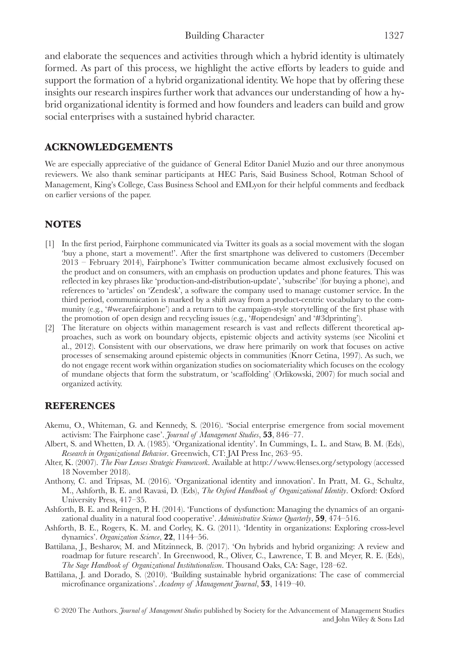and elaborate the sequences and activities through which a hybrid identity is ultimately formed. As part of this process, we highlight the active efforts by leaders to guide and support the formation of a hybrid organizational identity. We hope that by offering these insights our research inspires further work that advances our understanding of how a hybrid organizational identity is formed and how founders and leaders can build and grow social enterprises with a sustained hybrid character.

## **ACKNOWLEDGEMENTS**

We are especially appreciative of the guidance of General Editor Daniel Muzio and our three anonymous reviewers. We also thank seminar participants at HEC Paris, Said Business School, Rotman School of Management, King's College, Cass Business School and EMLyon for their helpful comments and feedback on earlier versions of the paper.

## **NOTES**

- [1] In the first period, Fairphone communicated via Twitter its goals as a social movement with the slogan 'buy a phone, start a movement!'. After the first smartphone was delivered to customers (December 2013 – February 2014), Fairphone's Twitter communication became almost exclusively focused on the product and on consumers, with an emphasis on production updates and phone features. This was reflected in key phrases like 'production-and-distribution-update', 'subscribe' (for buying a phone), and references to 'articles' on 'Zendesk', a software the company used to manage customer service. In the third period, communication is marked by a shift away from a product-centric vocabulary to the community (e.g., '#wearefairphone') and a return to the campaign-style storytelling of the first phase with the promotion of open design and recycling issues (e.g., '#opendesign' and '#3dprinting').
- [2] The literature on objects within management research is vast and reflects different theoretical approaches, such as work on boundary objects, epistemic objects and activity systems (see Nicolini et al., 2012). Consistent with our observations, we draw here primarily on work that focuses on active processes of sensemaking around epistemic objects in communities (Knorr Cetina, 1997). As such, we do not engage recent work within organization studies on sociomateriality which focuses on the ecology of mundane objects that form the substratum, or 'scaffolding' (Orlikowski, 2007) for much social and organized activity.

## **REFERENCES**

- Akemu, O., Whiteman, G. and Kennedy, S. (2016). 'Social enterprise emergence from social movement activism: The Fairphone case'. *Journal of Management Studies*, **53**, 846–77.
- Albert, S. and Whetten, D. A. (1985). 'Organizational identity'. In Cummings, L. L. and Staw, B. M. (Eds), *Research in Organizational Behavior*. Greenwich, CT: JAI Press Inc, 263–95.
- Alter, K. (2007). *The Four Lenses Strategic Framework*. Available at<http://www.4lenses.org/setypology> (accessed 18 November 2018).
- Anthony, C. and Tripsas, M. (2016). 'Organizational identity and innovation'. In Pratt, M. G., Schultz, M., Ashforth, B. E. and Ravasi, D. (Eds), *The Oxford Handbook of Organizational Identity*. Oxford: Oxford University Press, 417–35.
- Ashforth, B. E. and Reingen, P. H. (2014). 'Functions of dysfunction: Managing the dynamics of an organizational duality in a natural food cooperative'. *Administrative Science Quarterly*, **59**, 474–516.
- Ashforth, B. E., Rogers, K. M. and Corley, K. G. (2011). 'Identity in organizations: Exploring cross-level dynamics'. *Organization Science*, **22**, 1144–56.
- Battilana, J., Besharov, M. and Mitzinneck, B. (2017). 'On hybrids and hybrid organizing: A review and roadmap for future research'. In Greenwood, R., Oliver, C., Lawrence, T. B. and Meyer, R. E. (Eds), *The Sage Handbook of Organizational Institutionalism*. Thousand Oaks, CA: Sage, 128–62.
- Battilana, J. and Dorado, S. (2010). 'Building sustainable hybrid organizations: The case of commercial microfinance organizations'. *Academy of Management Journal*, **53**, 1419–40.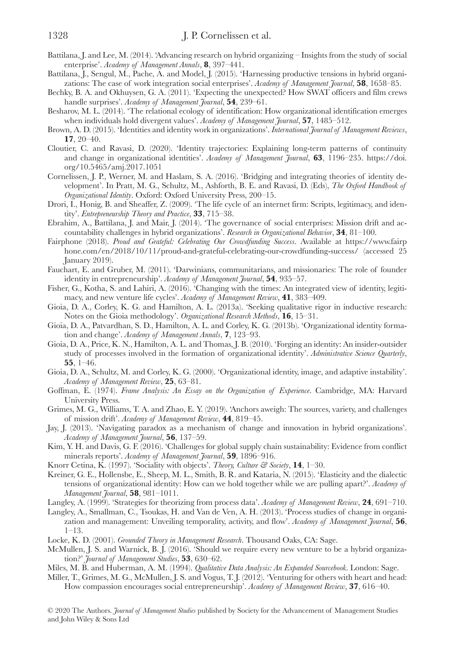- Battilana, J. and Lee, M. (2014). 'Advancing research on hybrid organizing Insights from the study of social enterprise'. *Academy of Management Annals*, **8**, 397–441.
- Battilana, J., Sengul, M., Pache, A. and Model, J. (2015). 'Harnessing productive tensions in hybrid organizations: The case of work integration social enterprises'. *Academy of Management Journal*, **58**, 1658–85.
- Bechky, B. A. and Okhuysen, G. A. (2011). 'Expecting the unexpected? How SWAT officers and film crews handle surprises'. *Academy of Management Journal*, **54**, 239–61.
- Besharov, M. L. (2014). 'The relational ecology of identification: How organizational identification emerges when individuals hold divergent values'. *Academy of Management Journal*, **57**, 1485–512.
- Brown, A. D. (2015). 'Identities and identity work in organizations'. *International Journal of Management Reviews*, **17**, 20–40.
- Cloutier, C. and Ravasi, D. (2020). 'Identity trajectories: Explaining long-term patterns of continuity and change in organizational identities'. *Academy of Management Journal*, **63**, 1196–235. [https://doi.](https://doi.org/10.5465/amj.2017.1051) [org/10.5465/amj.2017.1051](https://doi.org/10.5465/amj.2017.1051)
- Cornelissen, J. P., Werner, M. and Haslam, S. A. (2016). 'Bridging and integrating theories of identity development'. In Pratt, M. G., Schultz, M., Ashforth, B. E. and Ravasi, D. (Eds), *The Oxford Handbook of Organizational Identity*. Oxford: Oxford University Press, 200–15.
- Drori, I., Honig, B. and Sheaffer, Z. (2009). 'The life cycle of an internet firm: Scripts, legitimacy, and identity'. *Entrepreneurship Theory and Practice*, **33**, 715–38.
- Ebrahim, A., Battilana, J. and Mair, J. (2014). 'The governance of social enterprises: Mission drift and accountability challenges in hybrid organizations'. *Research in Organizational Behavior*, **34**, 81–100.
- Fairphone (2018). *Proud and Grateful: Celebrating Our Crowdfunding Success*. Available at [https://www.fairp](https://www.fairphone.com/en/2018/10/11/proud-and-grateful-celebrating-our-crowdfunding-success/) [hone.com/en/2018/10/11/proud-and-grateful-celebrating-our-crowdfunding-success/](https://www.fairphone.com/en/2018/10/11/proud-and-grateful-celebrating-our-crowdfunding-success/) (accessed 25 January 2019).
- Fauchart, E. and Gruber, M. (2011). 'Darwinians, communitarians, and missionaries: The role of founder identity in entrepreneurship'. *Academy of Management Journal*, **54**, 935–57.
- Fisher, G., Kotha, S. and Lahiri, A. (2016). 'Changing with the times: An integrated view of identity, legitimacy, and new venture life cycles'. *Academy of Management Review*, **41**, 383–409.
- Gioia, D. A., Corley, K. G. and Hamilton, A. L. (2013a). 'Seeking qualitative rigor in inductive research: Notes on the Gioia methodology'. *Organizational Research Methods*, **16**, 15–31.
- Gioia, D. A., Patvardhan, S. D., Hamilton, A. L. and Corley, K. G. (2013b). 'Organizational identity formation and change'. *Academy of Management Annals*, **7**, 123–93.
- Gioia, D. A., Price, K. N., Hamilton, A. L. and Thomas, J. B. (2010). 'Forging an identity: An insider-outsider study of processes involved in the formation of organizational identity'. *Administrative Science Quarterly*, **55**, 1–46.
- Gioia, D. A., Schultz, M. and Corley, K. G. (2000). 'Organizational identity, image, and adaptive instability'. *Academy of Management Review*, **25**, 63–81.
- Goffman, E. (1974). *Frame Analysis: An Essay on the Organization of Experience*. Cambridge, MA: Harvard University Press.
- Grimes, M. G., Williams, T. A. and Zhao, E. Y. (2019). 'Anchors aweigh: The sources, variety, and challenges of mission drift'. *Academy of Management Review*, **44**, 819–45.
- Jay, J. (2013). 'Navigating paradox as a mechanism of change and innovation in hybrid organizations'. *Academy of Management Journal*, **56**, 137–59.
- Kim, Y. H. and Davis, G. F. (2016). 'Challenges for global supply chain sustainability: Evidence from conflict minerals reports'. *Academy of Management Journal*, **59**, 1896–916.
- Knorr Cetina, K. (1997). 'Sociality with objects'. *Theory, Culture & Society*, **14**, 1–30.
- Kreiner, G. E., Hollensbe, E., Sheep, M. L., Smith, B. R. and Kataria, N. (2015). 'Elasticity and the dialectic tensions of organizational identity: How can we hold together while we are pulling apart?'. *Academy of Management Journal*, **58**, 981–1011.

Langley, A. (1999). 'Strategies for theorizing from process data'. *Academy of Management Review*, **24**, 691–710.

- Langley, A., Smallman, C., Tsoukas, H. and Van de Ven, A. H. (2013). 'Process studies of change in organization and management: Unveiling temporality, activity, and flow'. *Academy of Management Journal*, **56**, 1–13.
- Locke, K. D. (2001). *Grounded Theory in Management Research*. Thousand Oaks, CA: Sage.
- McMullen, J. S. and Warnick, B. J. (2016). 'Should we require every new venture to be a hybrid organization?' *Journal of Management Studies*, **53**, 630–62.
- Miles, M. B. and Huberman, A. M. (1994). *Qualitative Data Analysis: An Expanded Sourcebook*. London: Sage.
- Miller, T., Grimes, M. G., McMullen, J. S. and Vogus, T. J. (2012). 'Venturing for others with heart and head: How compassion encourages social entrepreneurship'. *Academy of Management Review*, **37**, 616–40.

© 2020 The Authors. *Journal of Management Studies* published by Society for the Advancement of Management Studies and John Wiley & Sons Ltd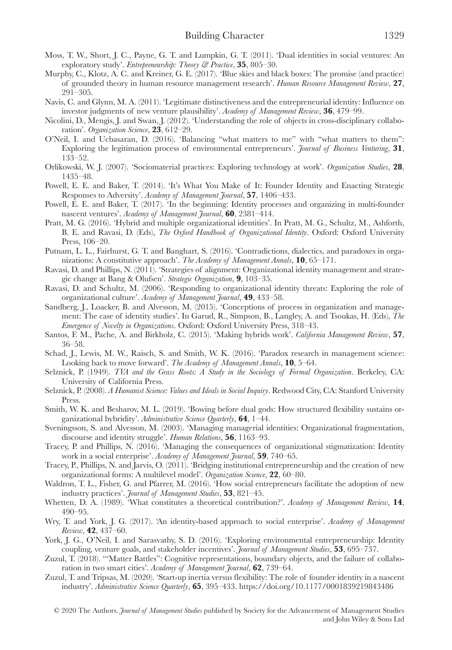- Moss, T. W., Short, J. C., Payne, G. T. and Lumpkin, G. T. (2011). 'Dual identities in social ventures: An exploratory study'. *Entrepreneurship: Theory & Practice*, **35**, 805–30.
- Murphy, C., Klotz, A. C. and Kreiner, G. E. (2017). 'Blue skies and black boxes: The promise (and practice) of grounded theory in human resource management research'. *Human Resource Management Review*, **27**, 291–305.
- Navis, C. and Glynn, M. A. (2011). 'Legitimate distinctiveness and the entrepreneurial identity: Influence on investor judgments of new venture plausibility'. *Academy of Management Review*, **36**, 479–99.
- Nicolini, D., Mengis, J. and Swan, J. (2012). 'Understanding the role of objects in cross-disciplinary collaboration'. *Organization Science*, **23**, 612–29.
- O'Neil, I. and Ucbasaran, D. (2016). 'Balancing "what matters to me" with "what matters to them": Exploring the legitimation process of environmental entrepreneurs'. *Journal of Business Venturing*, **31**, 133–52.
- Orlikowski, W. J. (2007). 'Sociomaterial practices: Exploring technology at work'. *Organization Studies*, **28**, 1435–48.
- Powell, E. E. and Baker, T. (2014). 'It's What You Make of It: Founder Identity and Enacting Strategic Responses to Adversity'. *Academy of Management Journal*, **57**, 1406–433.
- Powell, E. E. and Baker, T. (2017). 'In the beginning: Identity processes and organizing in multi-founder nascent ventures'. *Academy of Management Journal*, **60**, 2381–414.
- Pratt, M. G. (2016). 'Hybrid and multiple organizational identities'. In Pratt, M. G., Schultz, M., Ashforth, B. E. and Ravasi, D. (Eds), *The Oxford Handbook of Organizational Identity*. Oxford: Oxford University Press, 106–20.
- Putnam, L. L., Fairhurst, G. T. and Banghart, S. (2016). 'Contradictions, dialectics, and paradoxes in organizations: A constitutive approach'. *The Academy of Management Annals*, **10**, 65–171.
- Ravasi, D. and Phillips, N. (2011). 'Strategies of alignment: Organizational identity management and strategic change at Bang & Olufsen'. *Strategic Organization*, **9**, 103–35.
- Ravasi, D. and Schultz, M. (2006). 'Responding to organizational identity threats: Exploring the role of organizational culture'. *Academy of Management Journal*, **49**, 433–58.
- Sandberg, J., Loacker, B. and Alvesson, M. (2015). 'Conceptions of process in organization and management: The case of identity studies'. In Garud, R., Simpson, B., Langley, A. and Tsoukas, H. (Eds), *The Emergence of Novelty in Organizations*. Oxford: Oxford University Press, 318–43.
- Santos, F. M., Pache, A. and Birkholz, C. (2015). 'Making hybrids work'. *California Management Review*, **57**, 36–58.
- Schad, J., Lewis, M. W., Raisch, S. and Smith, W. K. (2016). 'Paradox research in management science: Looking back to move forward'. *The Academy of Management Annals*, **10**, 5–64.
- Selznick, P. (1949). *TVA and the Grass Roots: A Study in the Sociology of Formal Organization*. Berkeley, CA: University of California Press.
- Selznick, P. (2008). *A Humanist Science: Values and Ideals in Social Inquiry*. Redwood City, CA: Stanford University Press.
- Smith, W. K. and Besharov, M. L. (2019). 'Bowing before dual gods: How structured flexibility sustains organizational hybridity'. *Administrative Science Quarterly*, **64**, 1–44.
- Sveningsson, S. and Alvesson, M. (2003). 'Managing managerial identities: Organizational fragmentation, discourse and identity struggle'. *Human Relations*, **56**, 1163–93.
- Tracey, P. and Phillips, N. (2016). 'Managing the consequences of organizational stigmatization: Identity work in a social enterprise'. *Academy of Management Journal*, **59**, 740–65.
- Tracey, P., Phillips, N. and Jarvis, O. (2011). 'Bridging institutional entrepreneurship and the creation of new organizational forms: A multilevel model'. *Organization Science*, **22**, 60–80.
- Waldron, T. L., Fisher, G. and Pfarrer, M. (2016). 'How social entrepreneurs facilitate the adoption of new industry practices'. *Journal of Management Studies*, **53**, 821–45.
- Whetten, D. A. (1989). 'What constitutes a theoretical contribution?'. *Academy of Management Review*, **14**, 490–95.
- Wry, T. and York, J. G. (2017). 'An identity-based approach to social enterprise'. *Academy of Management Review*, **42**, 437–60.
- York, J. G., O'Neil, I. and Sarasvathy, S. D. (2016). 'Exploring environmental entrepreneurship: Identity coupling, venture goals, and stakeholder incentives'. *Journal of Management Studies*, **53**, 695–737.
- Zuzul, T. (2018). '"Matter Battles": Cognitive representations, boundary objects, and the failure of collaboration in two smart cities'. *Academy of Management Journal*, **62**, 739–64.
- Zuzul, T. and Tripsas, M. (2020). 'Start-up inertia versus flexibility: The role of founder identity in a nascent industry'. *Administrative Science Quarterly*, **65**, 395–433. <https://doi.org/10.1177/0001839219843486>